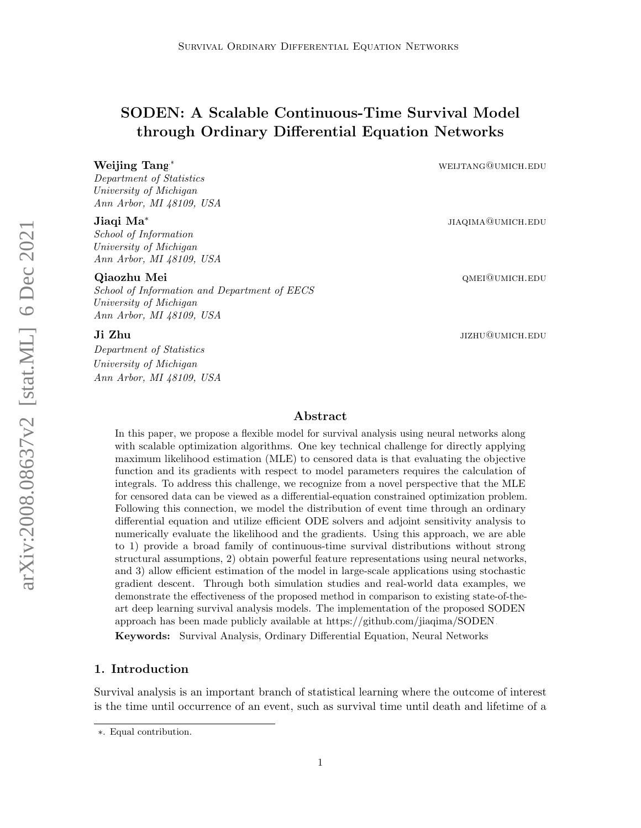# SODEN: A Scalable Continuous-Time Survival Model through Ordinary Differential Equation Networks

Department of Statistics University of Michigan Ann Arbor, MI 48109, USA

#### Jiaqi Ma<sup>∗</sup>

School of Information University of Michigan Ann Arbor, MI 48109, USA

School of Information and Department of EECS University of Michigan Ann Arbor, MI 48109, USA

Department of Statistics University of Michigan Ann Arbor, MI 48109, USA

Weijing Tang<sup>∗</sup> weijing Tang<sup>∗</sup> weijing Tang<sup>∗</sup>

jiaqima@umich.edu

Qiaozhu Mei **queidh ann an chuidhean** ann an comhan ann an comhan ann an comhan ann an comhan ann an comhan ann a

**Ji Zhu** jizhu@umich.edu

## Abstract

In this paper, we propose a flexible model for survival analysis using neural networks along with scalable optimization algorithms. One key technical challenge for directly applying maximum likelihood estimation (MLE) to censored data is that evaluating the objective function and its gradients with respect to model parameters requires the calculation of integrals. To address this challenge, we recognize from a novel perspective that the MLE for censored data can be viewed as a differential-equation constrained optimization problem. Following this connection, we model the distribution of event time through an ordinary differential equation and utilize efficient ODE solvers and adjoint sensitivity analysis to numerically evaluate the likelihood and the gradients. Using this approach, we are able to 1) provide a broad family of continuous-time survival distributions without strong structural assumptions, 2) obtain powerful feature representations using neural networks, and 3) allow efficient estimation of the model in large-scale applications using stochastic gradient descent. Through both simulation studies and real-world data examples, we demonstrate the effectiveness of the proposed method in comparison to existing state-of-theart deep learning survival analysis models. The implementation of the proposed SODEN approach has been made publicly available at [https://github.com/jiaqima/SODEN.](https://github.com/jiaqima/SODEN) Keywords: Survival Analysis, Ordinary Differential Equation, Neural Networks

## 1. Introduction

Survival analysis is an important branch of statistical learning where the outcome of interest is the time until occurrence of an event, such as survival time until death and lifetime of a

<sup>∗</sup>. Equal contribution.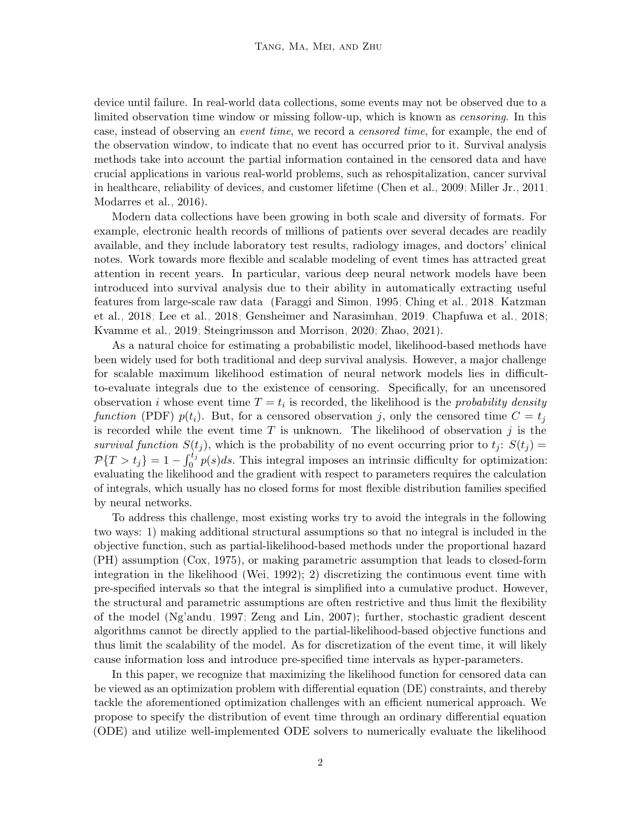device until failure. In real-world data collections, some events may not be observed due to a limited observation time window or missing follow-up, which is known as censoring. In this case, instead of observing an event time, we record a censored time, for example, the end of the observation window, to indicate that no event has occurred prior to it. Survival analysis methods take into account the partial information contained in the censored data and have crucial applications in various real-world problems, such as rehospitalization, cancer survival in healthcare, reliability of devices, and customer lifetime [\(Chen et al., 2009;](#page-21-0) [Miller Jr., 2011;](#page-23-0) [Modarres et al., 2016\)](#page-23-1).

Modern data collections have been growing in both scale and diversity of formats. For example, electronic health records of millions of patients over several decades are readily available, and they include laboratory test results, radiology images, and doctors' clinical notes. Work towards more flexible and scalable modeling of event times has attracted great attention in recent years. In particular, various deep neural network models have been introduced into survival analysis due to their ability in automatically extracting useful features from large-scale raw data [\(Faraggi and Simon, 1995;](#page-21-1) [Ching et al., 2018;](#page-21-2) [Katzman](#page-22-0) [et al., 2018;](#page-22-0) [Lee et al., 2018;](#page-22-1) [Gensheimer and Narasimhan, 2019;](#page-21-3) [Chapfuwa et al., 2018;](#page-20-0) [Kvamme et al., 2019;](#page-22-2) [Steingrimsson and Morrison, 2020;](#page-23-2) [Zhao, 2021\)](#page-24-0).

As a natural choice for estimating a probabilistic model, likelihood-based methods have been widely used for both traditional and deep survival analysis. However, a major challenge for scalable maximum likelihood estimation of neural network models lies in difficultto-evaluate integrals due to the existence of censoring. Specifically, for an uncensored observation *i* whose event time  $T = t_i$  is recorded, the likelihood is the *probability density* function (PDF)  $p(t_i)$ . But, for a censored observation j, only the censored time  $C = t_j$ is recorded while the event time  $T$  is unknown. The likelihood of observation  $j$  is the survival function  $S(t_i)$ , which is the probability of no event occurring prior to  $t_i$ :  $S(t_i)$  =  $\mathcal{P}{T > t_j} = 1 - \int_0^{t_j} p(s)ds$ . This integral imposes an intrinsic difficulty for optimization: evaluating the likelihood and the gradient with respect to parameters requires the calculation of integrals, which usually has no closed forms for most flexible distribution families specified by neural networks.

To address this challenge, most existing works try to avoid the integrals in the following two ways: 1) making additional structural assumptions so that no integral is included in the objective function, such as partial-likelihood-based methods under the proportional hazard (PH) assumption [\(Cox, 1975\)](#page-21-4), or making parametric assumption that leads to closed-form integration in the likelihood [\(Wei, 1992\)](#page-24-1); 2) discretizing the continuous event time with pre-specified intervals so that the integral is simplified into a cumulative product. However, the structural and parametric assumptions are often restrictive and thus limit the flexibility of the model [\(Ng'andu, 1997;](#page-23-3) [Zeng and Lin, 2007\)](#page-24-2); further, stochastic gradient descent algorithms cannot be directly applied to the partial-likelihood-based objective functions and thus limit the scalability of the model. As for discretization of the event time, it will likely cause information loss and introduce pre-specified time intervals as hyper-parameters.

In this paper, we recognize that maximizing the likelihood function for censored data can be viewed as an optimization problem with differential equation (DE) constraints, and thereby tackle the aforementioned optimization challenges with an efficient numerical approach. We propose to specify the distribution of event time through an ordinary differential equation (ODE) and utilize well-implemented ODE solvers to numerically evaluate the likelihood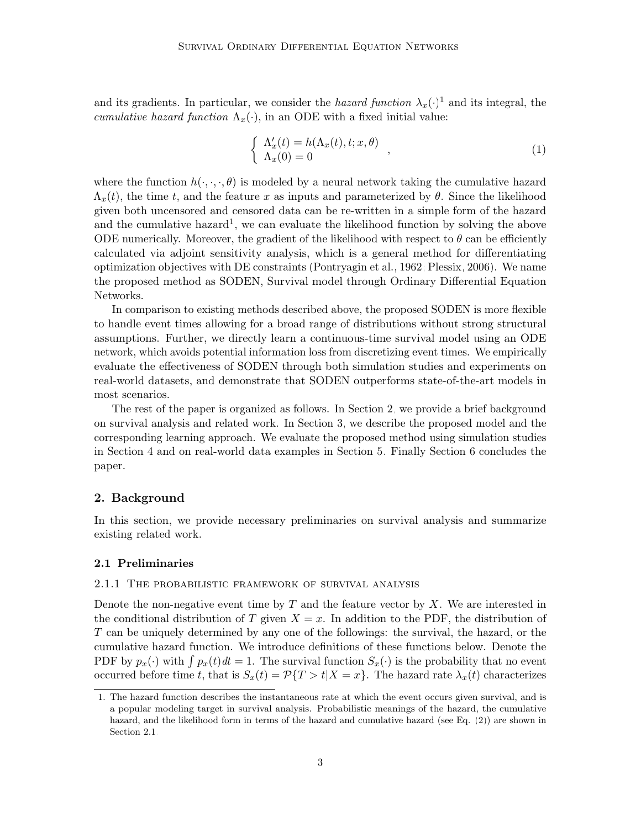and its gradients. In particular, we consider the *hazard function*  $\lambda_x(\cdot)$ <sup>[1](#page-2-0)</sup> and its integral, the cumulative hazard function  $\Lambda_x(\cdot)$ , in an ODE with a fixed initial value:

<span id="page-2-3"></span>
$$
\begin{cases}\n\Lambda_x'(t) = h(\Lambda_x(t), t; x, \theta) \\
\Lambda_x(0) = 0\n\end{cases},
$$
\n(1)

where the function  $h(\cdot, \cdot, \cdot, \theta)$  is modeled by a neural network taking the cumulative hazard  $\Lambda_x(t)$ , the time t, and the feature x as inputs and parameterized by  $\theta$ . Since the likelihood given both uncensored and censored data can be re-written in a simple form of the hazard and the cumulative hazard<sup>1</sup>, we can evaluate the likelihood function by solving the above ODE numerically. Moreover, the gradient of the likelihood with respect to  $\theta$  can be efficiently calculated via adjoint sensitivity analysis, which is a general method for differentiating optimization objectives with DE constraints [\(Pontryagin et al., 1962;](#page-23-4) [Plessix, 2006\)](#page-23-5). We name the proposed method as SODEN, Survival model through Ordinary Differential Equation Networks.

In comparison to existing methods described above, the proposed SODEN is more flexible to handle event times allowing for a broad range of distributions without strong structural assumptions. Further, we directly learn a continuous-time survival model using an ODE network, which avoids potential information loss from discretizing event times. We empirically evaluate the effectiveness of SODEN through both simulation studies and experiments on real-world datasets, and demonstrate that SODEN outperforms state-of-the-art models in most scenarios.

The rest of the paper is organized as follows. In Section [2,](#page-2-1) we provide a brief background on survival analysis and related work. In Section [3,](#page-6-0) we describe the proposed model and the corresponding learning approach. We evaluate the proposed method using simulation studies in Section [4](#page-8-0) and on real-world data examples in Section [5.](#page-10-0) Finally Section [6](#page-19-0) concludes the paper.

## <span id="page-2-1"></span>2. Background

In this section, we provide necessary preliminaries on survival analysis and summarize existing related work.

## <span id="page-2-2"></span>2.1 Preliminaries

## <span id="page-2-4"></span>2.1.1 The probabilistic framework of survival analysis

Denote the non-negative event time by  $T$  and the feature vector by  $X$ . We are interested in the conditional distribution of T given  $X = x$ . In addition to the PDF, the distribution of T can be uniquely determined by any one of the followings: the survival, the hazard, or the cumulative hazard function. We introduce definitions of these functions below. Denote the PDF by  $p_x(\cdot)$  with  $\int p_x(t)dt = 1$ . The survival function  $S_x(\cdot)$  is the probability that no event occurred before time t, that is  $S_x(t) = \mathcal{P}{T > t | X = x}$ . The hazard rate  $\lambda_x(t)$  characterizes

<span id="page-2-0"></span><sup>1.</sup> The hazard function describes the instantaneous rate at which the event occurs given survival, and is a popular modeling target in survival analysis. Probabilistic meanings of the hazard, the cumulative hazard, and the likelihood form in terms of the hazard and cumulative hazard (see Eq. [\(2\)](#page-3-0)) are shown in Section [2.1.](#page-2-2)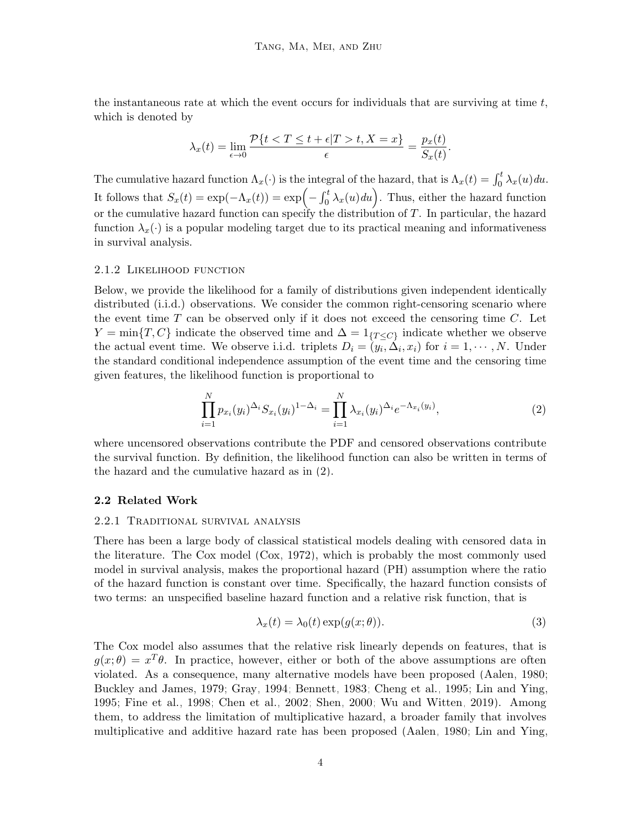the instantaneous rate at which the event occurs for individuals that are surviving at time  $t$ , which is denoted by

$$
\lambda_x(t) = \lim_{\epsilon \to 0} \frac{\mathcal{P}\{t < T \le t + \epsilon | T > t, X = x\}}{\epsilon} = \frac{p_x(t)}{S_x(t)}.
$$

The cumulative hazard function  $\Lambda_x(\cdot)$  is the integral of the hazard, that is  $\Lambda_x(t) = \int_0^t \lambda_x(u) du$ . It follows that  $S_x(t) = \exp(-\Lambda_x(t)) = \exp(-\int_0^t \lambda_x(u) du)$ . Thus, either the hazard function or the cumulative hazard function can specify the distribution of T. In particular, the hazard function  $\lambda_x(\cdot)$  is a popular modeling target due to its practical meaning and informativeness in survival analysis.

#### 2.1.2 Likelihood function

Below, we provide the likelihood for a family of distributions given independent identically distributed (i.i.d.) observations. We consider the common right-censoring scenario where the event time  $T$  can be observed only if it does not exceed the censoring time  $C$ . Let  $Y = \min\{T, C\}$  indicate the observed time and  $\Delta = 1_{\{T \leq C\}}$  indicate whether we observe the actual event time. We observe i.i.d. triplets  $D_i = (y_i, \Delta_i, x_i)$  for  $i = 1, \dots, N$ . Under the standard conditional independence assumption of the event time and the censoring time given features, the likelihood function is proportional to

<span id="page-3-0"></span>
$$
\prod_{i=1}^{N} p_{x_i}(y_i)^{\Delta_i} S_{x_i}(y_i)^{1-\Delta_i} = \prod_{i=1}^{N} \lambda_{x_i}(y_i)^{\Delta_i} e^{-\Lambda_{x_i}(y_i)},
$$
\n(2)

where uncensored observations contribute the PDF and censored observations contribute the survival function. By definition, the likelihood function can also be written in terms of the hazard and the cumulative hazard as in [\(2\)](#page-3-0).

#### 2.2 Related Work

#### 2.2.1 Traditional survival analysis

There has been a large body of classical statistical models dealing with censored data in the literature. The Cox model [\(Cox, 1972\)](#page-21-5), which is probably the most commonly used model in survival analysis, makes the proportional hazard (PH) assumption where the ratio of the hazard function is constant over time. Specifically, the hazard function consists of two terms: an unspecified baseline hazard function and a relative risk function, that is

<span id="page-3-1"></span>
$$
\lambda_x(t) = \lambda_0(t) \exp(g(x; \theta)).
$$
\n(3)

The Cox model also assumes that the relative risk linearly depends on features, that is  $g(x; \theta) = x^T \theta$ . In practice, however, either or both of the above assumptions are often violated. As a consequence, many alternative models have been proposed [\(Aalen, 1980;](#page-20-1) [Buckley and James, 1979;](#page-20-2) [Gray, 1994;](#page-22-3) [Bennett, 1983;](#page-20-3) [Cheng et al., 1995;](#page-21-6) [Lin and Ying,](#page-23-6) [1995;](#page-23-6) [Fine et al., 1998;](#page-21-7) [Chen et al., 2002;](#page-20-4) [Shen, 2000;](#page-23-7) [Wu and Witten, 2019\)](#page-24-3). Among them, to address the limitation of multiplicative hazard, a broader family that involves multiplicative and additive hazard rate has been proposed [\(Aalen, 1980;](#page-20-1) [Lin and Ying,](#page-23-6)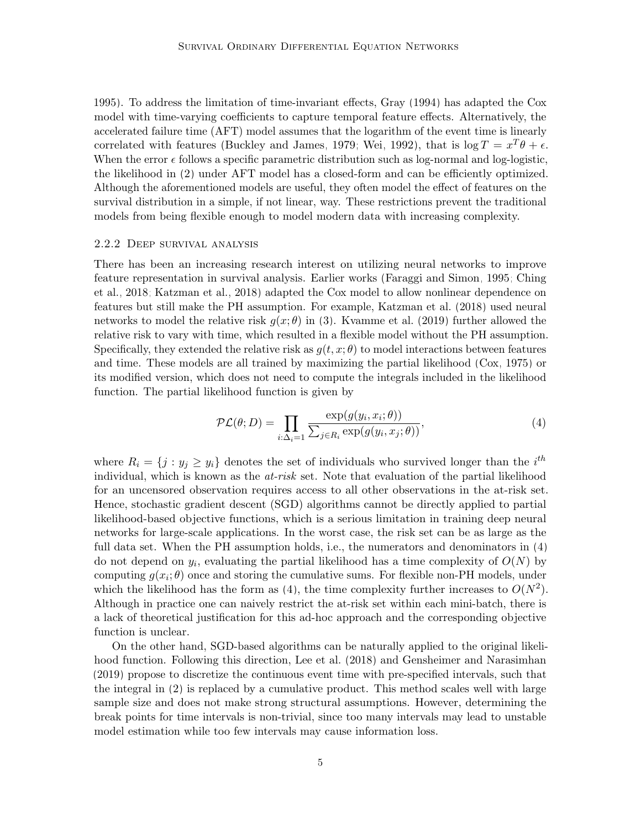[1995\)](#page-23-6). To address the limitation of time-invariant effects, [Gray](#page-22-3) [\(1994\)](#page-22-3) has adapted the Cox model with time-varying coefficients to capture temporal feature effects. Alternatively, the accelerated failure time (AFT) model assumes that the logarithm of the event time is linearly correlated with features [\(Buckley and James, 1979;](#page-20-2) [Wei, 1992\)](#page-24-1), that is  $\log T = x^T \theta + \epsilon$ . When the error  $\epsilon$  follows a specific parametric distribution such as log-normal and log-logistic, the likelihood in [\(2\)](#page-3-0) under AFT model has a closed-form and can be efficiently optimized. Although the aforementioned models are useful, they often model the effect of features on the survival distribution in a simple, if not linear, way. These restrictions prevent the traditional models from being flexible enough to model modern data with increasing complexity.

#### 2.2.2 Deep survival analysis

There has been an increasing research interest on utilizing neural networks to improve feature representation in survival analysis. Earlier works [\(Faraggi and Simon, 1995;](#page-21-1) [Ching](#page-21-2) [et al., 2018;](#page-21-2) [Katzman et al., 2018\)](#page-22-0) adapted the Cox model to allow nonlinear dependence on features but still make the PH assumption. For example, [Katzman et al.](#page-22-0) [\(2018\)](#page-22-0) used neural networks to model the relative risk  $g(x; \theta)$  in [\(3\)](#page-3-1). [Kvamme et al.](#page-22-2) [\(2019\)](#page-22-2) further allowed the relative risk to vary with time, which resulted in a flexible model without the PH assumption. Specifically, they extended the relative risk as  $g(t, x; \theta)$  to model interactions between features and time. These models are all trained by maximizing the partial likelihood [\(Cox, 1975\)](#page-21-4) or its modified version, which does not need to compute the integrals included in the likelihood function. The partial likelihood function is given by

<span id="page-4-0"></span>
$$
\mathcal{PL}(\theta; D) = \prod_{i:\Delta_i=1} \frac{\exp(g(y_i, x_i; \theta))}{\sum_{j \in R_i} \exp(g(y_i, x_j; \theta))},\tag{4}
$$

where  $R_i = \{j : y_j \geq y_i\}$  denotes the set of individuals who survived longer than the i<sup>th</sup> individual, which is known as the  $at-risk$  set. Note that evaluation of the partial likelihood for an uncensored observation requires access to all other observations in the at-risk set. Hence, stochastic gradient descent (SGD) algorithms cannot be directly applied to partial likelihood-based objective functions, which is a serious limitation in training deep neural networks for large-scale applications. In the worst case, the risk set can be as large as the full data set. When the PH assumption holds, i.e., the numerators and denominators in [\(4\)](#page-4-0) do not depend on  $y_i$ , evaluating the partial likelihood has a time complexity of  $O(N)$  by computing  $g(x_i; \theta)$  once and storing the cumulative sums. For flexible non-PH models, under which the likelihood has the form as [\(4\)](#page-4-0), the time complexity further increases to  $O(N^2)$ . Although in practice one can naively restrict the at-risk set within each mini-batch, there is a lack of theoretical justification for this ad-hoc approach and the corresponding objective function is unclear.

On the other hand, SGD-based algorithms can be naturally applied to the original likelihood function. Following this direction, [Lee et al.](#page-22-1) [\(2018\)](#page-22-1) and [Gensheimer and Narasimhan](#page-21-3) [\(2019\)](#page-21-3) propose to discretize the continuous event time with pre-specified intervals, such that the integral in [\(2\)](#page-3-0) is replaced by a cumulative product. This method scales well with large sample size and does not make strong structural assumptions. However, determining the break points for time intervals is non-trivial, since too many intervals may lead to unstable model estimation while too few intervals may cause information loss.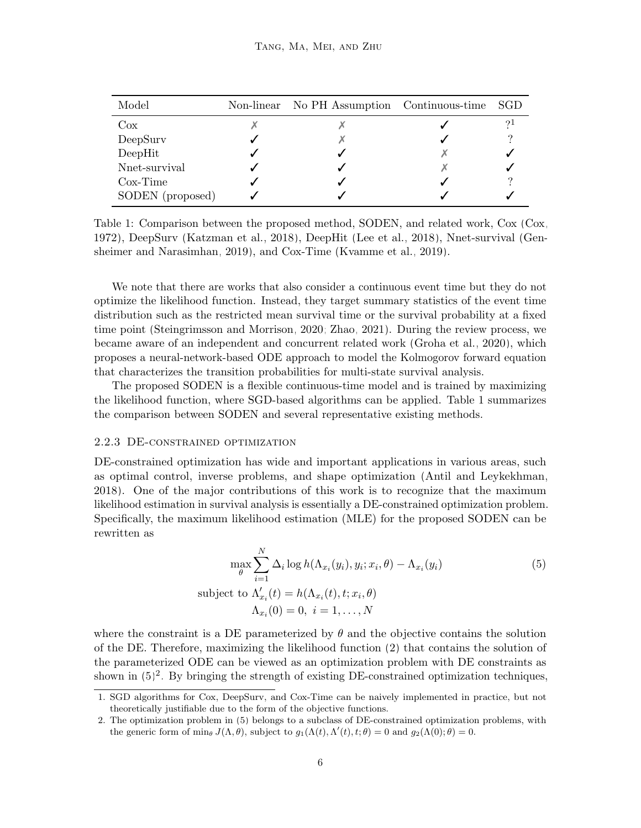<span id="page-5-0"></span>

| Model            | Non-linear No PH Assumption Continuous-time SGD |    |
|------------------|-------------------------------------------------|----|
| Cox              |                                                 | 21 |
| DeepSurv         |                                                 |    |
| DeepHit          |                                                 |    |
| Nnet-survival    |                                                 |    |
| $Cox-Time$       |                                                 |    |
| SODEN (proposed) |                                                 |    |

Table 1: Comparison between the proposed method, SODEN, and related work, Cox [\(Cox,](#page-21-5) [1972\)](#page-21-5), DeepSurv [\(Katzman et al., 2018\)](#page-22-0), DeepHit [\(Lee et al., 2018\)](#page-22-1), Nnet-survival [\(Gen](#page-21-3)[sheimer and Narasimhan, 2019\)](#page-21-3), and Cox-Time [\(Kvamme et al., 2019\)](#page-22-2).

We note that there are works that also consider a continuous event time but they do not optimize the likelihood function. Instead, they target summary statistics of the event time distribution such as the restricted mean survival time or the survival probability at a fixed time point [\(Steingrimsson and Morrison, 2020;](#page-23-2) [Zhao, 2021\)](#page-24-0). During the review process, we became aware of an independent and concurrent related work [\(Groha et al., 2020\)](#page-22-4), which proposes a neural-network-based ODE approach to model the Kolmogorov forward equation that characterizes the transition probabilities for multi-state survival analysis.

The proposed SODEN is a flexible continuous-time model and is trained by maximizing the likelihood function, where SGD-based algorithms can be applied. Table [1](#page-5-0) summarizes the comparison between SODEN and several representative existing methods.

#### 2.2.3 DE-constrained optimization

DE-constrained optimization has wide and important applications in various areas, such as optimal control, inverse problems, and shape optimization [\(Antil and Leykekhman,](#page-20-5) [2018\)](#page-20-5). One of the major contributions of this work is to recognize that the maximum likelihood estimation in survival analysis is essentially a DE-constrained optimization problem. Specifically, the maximum likelihood estimation (MLE) for the proposed SODEN can be rewritten as

<span id="page-5-1"></span>
$$
\max_{\theta} \sum_{i=1}^{N} \Delta_i \log h(\Lambda_{x_i}(y_i), y_i; x_i, \theta) - \Lambda_{x_i}(y_i)
$$
  
subject to  $\Lambda'_{x_i}(t) = h(\Lambda_{x_i}(t), t; x_i, \theta)$   
 $\Lambda_{x_i}(0) = 0, i = 1, ..., N$  (5)

where the constraint is a DE parameterized by  $\theta$  and the objective contains the solution of the DE. Therefore, maximizing the likelihood function [\(2\)](#page-3-0) that contains the solution of the parameterized ODE can be viewed as an optimization problem with DE constraints as shown in  $(5)^2$  $(5)^2$  $(5)^2$ . By bringing the strength of existing DE-constrained optimization techniques,

<sup>1.</sup> SGD algorithms for Cox, DeepSurv, and Cox-Time can be naively implemented in practice, but not theoretically justifiable due to the form of the objective functions.

<span id="page-5-2"></span><sup>2.</sup> The optimization problem in [\(5\)](#page-5-1) belongs to a subclass of DE-constrained optimization problems, with the generic form of  $\min_{\theta} J(\Lambda, \theta)$ , subject to  $g_1(\Lambda(t), \Lambda'(t), t; \theta) = 0$  and  $g_2(\Lambda(0); \theta) = 0$ .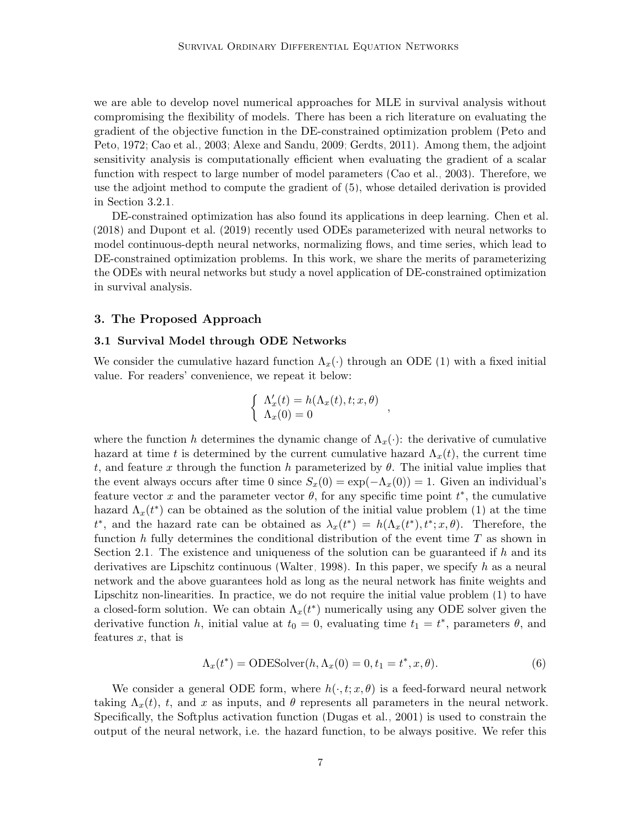we are able to develop novel numerical approaches for MLE in survival analysis without compromising the flexibility of models. There has been a rich literature on evaluating the gradient of the objective function in the DE-constrained optimization problem [\(Peto and](#page-23-8) [Peto, 1972;](#page-23-8) [Cao et al., 2003;](#page-20-6) [Alexe and Sandu, 2009;](#page-20-7) [Gerdts, 2011\)](#page-21-8). Among them, the adjoint sensitivity analysis is computationally efficient when evaluating the gradient of a scalar function with respect to large number of model parameters [\(Cao et al., 2003\)](#page-20-6). Therefore, we use the adjoint method to compute the gradient of [\(5\)](#page-5-1), whose detailed derivation is provided in Section [3.2.1.](#page-7-0)

DE-constrained optimization has also found its applications in deep learning. [Chen et al.](#page-20-8) [\(2018\)](#page-20-8) and [Dupont et al.](#page-21-9) [\(2019\)](#page-21-9) recently used ODEs parameterized with neural networks to model continuous-depth neural networks, normalizing flows, and time series, which lead to DE-constrained optimization problems. In this work, we share the merits of parameterizing the ODEs with neural networks but study a novel application of DE-constrained optimization in survival analysis.

### <span id="page-6-0"></span>3. The Proposed Approach

#### 3.1 Survival Model through ODE Networks

We consider the cumulative hazard function  $\Lambda_x(\cdot)$  through an ODE [\(1\)](#page-2-3) with a fixed initial value. For readers' convenience, we repeat it below:

$$
\begin{cases}\n\Lambda'_x(t) = h(\Lambda_x(t), t; x, \theta) \\
\Lambda_x(0) = 0\n\end{cases}
$$

where the function h determines the dynamic change of  $\Lambda_x(\cdot)$ : the derivative of cumulative hazard at time t is determined by the current cumulative hazard  $\Lambda_x(t)$ , the current time t, and feature x through the function h parameterized by  $\theta$ . The initial value implies that the event always occurs after time 0 since  $S_x(0) = \exp(-\Lambda_x(0)) = 1$ . Given an individual's feature vector x and the parameter vector  $\theta$ , for any specific time point  $t^*$ , the cumulative hazard  $\Lambda_x(t^*)$  can be obtained as the solution of the initial value problem [\(1\)](#page-2-3) at the time  $t^*$ , and the hazard rate can be obtained as  $\lambda_x(t^*) = h(\Lambda_x(t^*), t^*; x, \theta)$ . Therefore, the function h fully determines the conditional distribution of the event time  $T$  as shown in Section [2.1.](#page-2-2) The existence and uniqueness of the solution can be guaranteed if  $h$  and its derivatives are Lipschitz continuous [\(Walter, 1998\)](#page-24-4). In this paper, we specify h as a neural network and the above guarantees hold as long as the neural network has finite weights and Lipschitz non-linearities. In practice, we do not require the initial value problem [\(1\)](#page-2-3) to have a closed-form solution. We can obtain  $\Lambda_x(t^*)$  numerically using any ODE solver given the derivative function h, initial value at  $t_0 = 0$ , evaluating time  $t_1 = t^*$ , parameters  $\theta$ , and features  $x$ , that is

<span id="page-6-1"></span>
$$
\Lambda_x(t^*) = \text{ODESolver}(h, \Lambda_x(0) = 0, t_1 = t^*, x, \theta). \tag{6}
$$

We consider a general ODE form, where  $h(\cdot, t; x, \theta)$  is a feed-forward neural network taking  $\Lambda_x(t)$ , t, and x as inputs, and  $\theta$  represents all parameters in the neural network. Specifically, the Softplus activation function [\(Dugas et al., 2001\)](#page-21-10) is used to constrain the output of the neural network, i.e. the hazard function, to be always positive. We refer this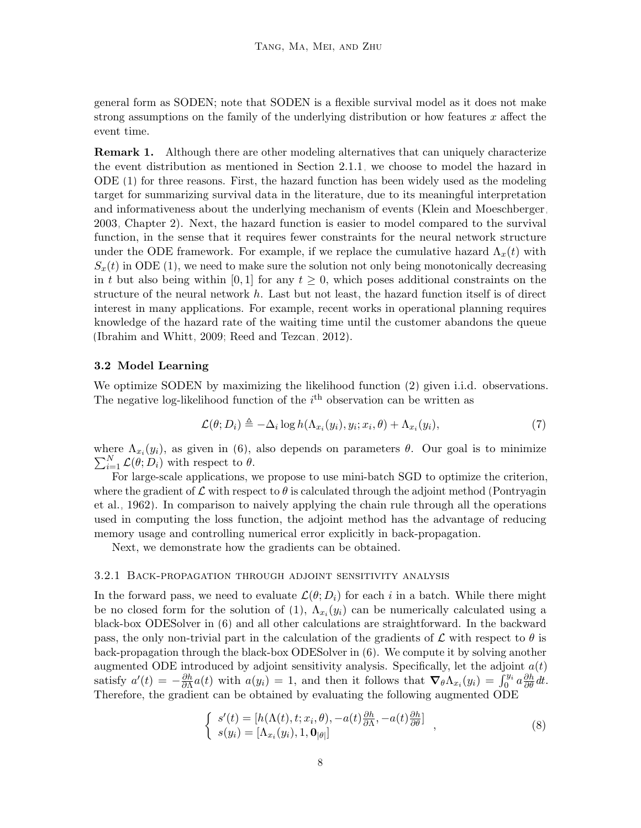general form as SODEN; note that SODEN is a flexible survival model as it does not make strong assumptions on the family of the underlying distribution or how features  $x$  affect the event time.

**Remark 1.** Although there are other modeling alternatives that can uniquely characterize the event distribution as mentioned in Section [2.1.1,](#page-2-4) we choose to model the hazard in ODE [\(1\)](#page-2-3) for three reasons. First, the hazard function has been widely used as the modeling target for summarizing survival data in the literature, due to its meaningful interpretation and informativeness about the underlying mechanism of events [\(Klein and Moeschberger,](#page-22-5) [2003,](#page-22-5) Chapter 2). Next, the hazard function is easier to model compared to the survival function, in the sense that it requires fewer constraints for the neural network structure under the ODE framework. For example, if we replace the cumulative hazard  $\Lambda_x(t)$  with  $S_x(t)$  in ODE [\(1\)](#page-2-3), we need to make sure the solution not only being monotonically decreasing in t but also being within [0, 1] for any  $t \geq 0$ , which poses additional constraints on the structure of the neural network h. Last but not least, the hazard function itself is of direct interest in many applications. For example, recent works in operational planning requires knowledge of the hazard rate of the waiting time until the customer abandons the queue [\(Ibrahim and Whitt, 2009;](#page-22-6) [Reed and Tezcan, 2012\)](#page-23-9).

## 3.2 Model Learning

We optimize SODEN by maximizing the likelihood function [\(2\)](#page-3-0) given i.i.d. observations. The negative log-likelihood function of the  $i<sup>th</sup>$  observation can be written as

<span id="page-7-2"></span>
$$
\mathcal{L}(\theta; D_i) \triangleq -\Delta_i \log h(\Lambda_{x_i}(y_i), y_i; x_i, \theta) + \Lambda_{x_i}(y_i), \tag{7}
$$

where  $\Lambda_{x_i}(y_i)$ , as given in [\(6\)](#page-6-1), also depends on parameters  $\theta$ . Our goal is to minimize  $\sum_{i=1}^{N} \mathcal{L}(\theta; D_i)$  with respect to  $\theta$ .

For large-scale applications, we propose to use mini-batch SGD to optimize the criterion, where the gradient of  $\mathcal L$  with respect to  $\theta$  is calculated through the adjoint method [\(Pontryagin](#page-23-4) [et al., 1962\)](#page-23-4). In comparison to naively applying the chain rule through all the operations used in computing the loss function, the adjoint method has the advantage of reducing memory usage and controlling numerical error explicitly in back-propagation.

Next, we demonstrate how the gradients can be obtained.

#### <span id="page-7-0"></span>3.2.1 Back-propagation through adjoint sensitivity analysis

In the forward pass, we need to evaluate  $\mathcal{L}(\theta; D_i)$  for each i in a batch. While there might be no closed form for the solution of [\(1\)](#page-2-3),  $\Lambda_{x_i}(y_i)$  can be numerically calculated using a black-box ODESolver in [\(6\)](#page-6-1) and all other calculations are straightforward. In the backward pass, the only non-trivial part in the calculation of the gradients of  $\mathcal L$  with respect to  $\theta$  is back-propagation through the black-box ODESolver in [\(6\)](#page-6-1). We compute it by solving another augmented ODE introduced by adjoint sensitivity analysis. Specifically, let the adjoint  $a(t)$ satisfy  $a'(t) = -\frac{\partial h}{\partial \Lambda}$  $\frac{\partial h}{\partial \Lambda} a(t)$  with  $a(y_i) = 1$ , and then it follows that  $\nabla_\theta \Lambda_{x_i}(y_i) = \int_0^{y_i} a \frac{\partial h}{\partial \theta} dt$ . Therefore, the gradient can be obtained by evaluating the following augmented ODE

<span id="page-7-1"></span>
$$
\begin{cases}\ns'(t) = [h(\Lambda(t), t; x_i, \theta), -a(t)\frac{\partial h}{\partial \Lambda}, -a(t)\frac{\partial h}{\partial \theta}] \\
s(y_i) = [\Lambda_{x_i}(y_i), 1, \mathbf{0}_{|\theta|}]\n\end{cases},
$$
\n(8)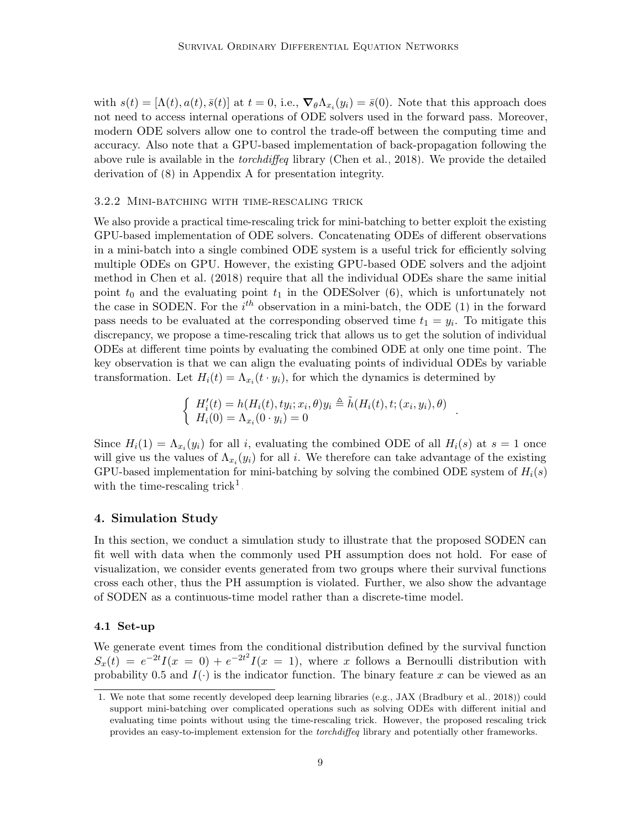with  $s(t) = [\Lambda(t), a(t), \bar{s}(t)]$  at  $t = 0$ , i.e.,  $\nabla_{\theta} \Lambda_{x_i}(y_i) = \bar{s}(0)$ . Note that this approach does not need to access internal operations of ODE solvers used in the forward pass. Moreover, modern ODE solvers allow one to control the trade-off between the computing time and accuracy. Also note that a GPU-based implementation of back-propagation following the above rule is available in the *torchdiffeq* library [\(Chen et al., 2018\)](#page-20-8). We provide the detailed derivation of [\(8\)](#page-7-1) in Appendix [A](#page-25-0) for presentation integrity.

#### 3.2.2 Mini-batching with time-rescaling trick

We also provide a practical time-rescaling trick for mini-batching to better exploit the existing GPU-based implementation of ODE solvers. Concatenating ODEs of different observations in a mini-batch into a single combined ODE system is a useful trick for efficiently solving multiple ODEs on GPU. However, the existing GPU-based ODE solvers and the adjoint method in [Chen et al.](#page-20-8) [\(2018\)](#page-20-8) require that all the individual ODEs share the same initial point  $t_0$  and the evaluating point  $t_1$  in the ODES olver [\(6\)](#page-6-1), which is unfortunately not the case in SODEN. For the  $i^{th}$  observation in a mini-batch, the ODE [\(1\)](#page-2-3) in the forward pass needs to be evaluated at the corresponding observed time  $t_1 = y_i$ . To mitigate this discrepancy, we propose a time-rescaling trick that allows us to get the solution of individual ODEs at different time points by evaluating the combined ODE at only one time point. The key observation is that we can align the evaluating points of individual ODEs by variable transformation. Let  $H_i(t) = \Lambda_{x_i}(t \cdot y_i)$ , for which the dynamics is determined by

$$
\begin{cases}\nH_i'(t) = h(H_i(t), ty_i; x_i, \theta)y_i \triangleq \tilde{h}(H_i(t), t; (x_i, y_i), \theta) \\
H_i(0) = \Lambda_{x_i}(0 \cdot y_i) = 0\n\end{cases}.
$$

Since  $H_i(1) = \Lambda_{x_i}(y_i)$  for all i, evaluating the combined ODE of all  $H_i(s)$  at  $s = 1$  once will give us the values of  $\Lambda_{x_i}(y_i)$  for all i. We therefore can take advantage of the existing GPU-based implementation for mini-batching by solving the combined ODE system of  $H_i(s)$ with the time-rescaling trick<sup>[1](#page-8-1)</sup>.

### <span id="page-8-0"></span>4. Simulation Study

In this section, we conduct a simulation study to illustrate that the proposed SODEN can fit well with data when the commonly used PH assumption does not hold. For ease of visualization, we consider events generated from two groups where their survival functions cross each other, thus the PH assumption is violated. Further, we also show the advantage of SODEN as a continuous-time model rather than a discrete-time model.

## 4.1 Set-up

We generate event times from the conditional distribution defined by the survival function  $S_x(t) = e^{-2t}I(x = 0) + e^{-2t^2}I(x = 1)$ , where x follows a Bernoulli distribution with probability 0.5 and  $I(.)$  is the indicator function. The binary feature x can be viewed as an

<span id="page-8-1"></span><sup>1.</sup> We note that some recently developed deep learning libraries (e.g., JAX [\(Bradbury et al., 2018\)](#page-20-9)) could support mini-batching over complicated operations such as solving ODEs with different initial and evaluating time points without using the time-rescaling trick. However, the proposed rescaling trick provides an easy-to-implement extension for the torchdiffeq library and potentially other frameworks.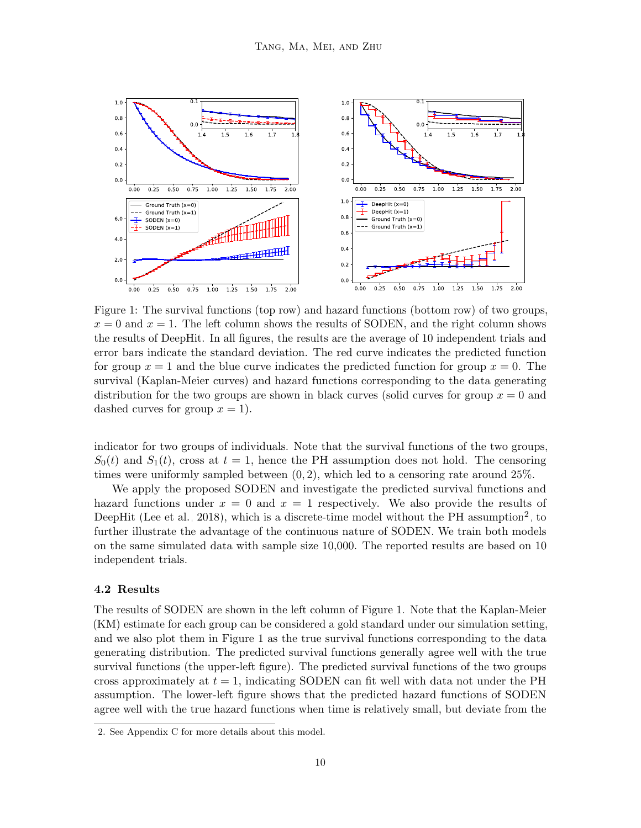<span id="page-9-1"></span>

Figure 1: The survival functions (top row) and hazard functions (bottom row) of two groups,  $x = 0$  and  $x = 1$ . The left column shows the results of SODEN, and the right column shows the results of DeepHit. In all figures, the results are the average of 10 independent trials and error bars indicate the standard deviation. The red curve indicates the predicted function for group  $x = 1$  and the blue curve indicates the predicted function for group  $x = 0$ . The survival (Kaplan-Meier curves) and hazard functions corresponding to the data generating distribution for the two groups are shown in black curves (solid curves for group  $x = 0$  and dashed curves for group  $x = 1$ .

indicator for two groups of individuals. Note that the survival functions of the two groups,  $S_0(t)$  and  $S_1(t)$ , cross at  $t = 1$ , hence the PH assumption does not hold. The censoring times were uniformly sampled between  $(0, 2)$ , which led to a censoring rate around 25%.

We apply the proposed SODEN and investigate the predicted survival functions and hazard functions under  $x = 0$  and  $x = 1$  respectively. We also provide the results of DeepHit [\(Lee et al., 2018\)](#page-22-1), which is a discrete-time model without the PH assumption<sup>[2](#page-9-0)</sup>, to further illustrate the advantage of the continuous nature of SODEN. We train both models on the same simulated data with sample size 10,000. The reported results are based on 10 independent trials.

#### 4.2 Results

The results of SODEN are shown in the left column of Figure [1.](#page-9-1) Note that the Kaplan-Meier (KM) estimate for each group can be considered a gold standard under our simulation setting, and we also plot them in Figure [1](#page-9-1) as the true survival functions corresponding to the data generating distribution. The predicted survival functions generally agree well with the true survival functions (the upper-left figure). The predicted survival functions of the two groups cross approximately at  $t = 1$ , indicating SODEN can fit well with data not under the PH assumption. The lower-left figure shows that the predicted hazard functions of SODEN agree well with the true hazard functions when time is relatively small, but deviate from the

<span id="page-9-0"></span><sup>2.</sup> See Appendix [C](#page-26-0) for more details about this model.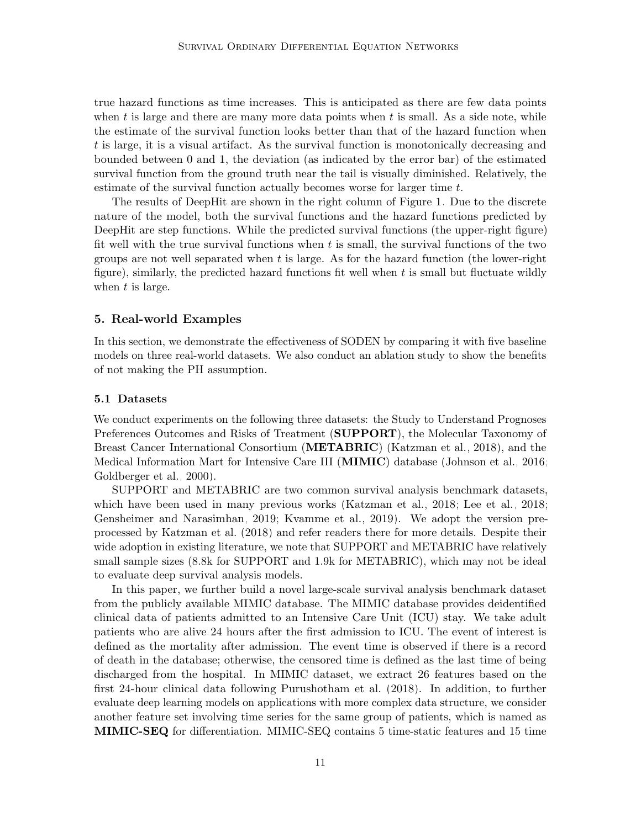true hazard functions as time increases. This is anticipated as there are few data points when t is large and there are many more data points when  $t$  is small. As a side note, while the estimate of the survival function looks better than that of the hazard function when t is large, it is a visual artifact. As the survival function is monotonically decreasing and bounded between 0 and 1, the deviation (as indicated by the error bar) of the estimated survival function from the ground truth near the tail is visually diminished. Relatively, the estimate of the survival function actually becomes worse for larger time t.

The results of DeepHit are shown in the right column of Figure [1.](#page-9-1) Due to the discrete nature of the model, both the survival functions and the hazard functions predicted by DeepHit are step functions. While the predicted survival functions (the upper-right figure) fit well with the true survival functions when t is small, the survival functions of the two groups are not well separated when  $t$  is large. As for the hazard function (the lower-right figure), similarly, the predicted hazard functions fit well when  $t$  is small but fluctuate wildly when t is large.

### <span id="page-10-0"></span>5. Real-world Examples

In this section, we demonstrate the effectiveness of SODEN by comparing it with five baseline models on three real-world datasets. We also conduct an ablation study to show the benefits of not making the PH assumption.

#### 5.1 Datasets

We conduct experiments on the following three datasets: the Study to Understand Prognoses Preferences Outcomes and Risks of Treatment (**SUPPORT**), the Molecular Taxonomy of Breast Cancer International Consortium (**METABRIC**) [\(Katzman et al., 2018\)](#page-22-0), and the Medical Information Mart for Intensive Care III (MIMIC) database [\(Johnson et al., 2016;](#page-22-7) [Goldberger et al., 2000\)](#page-21-11).

SUPPORT and METABRIC are two common survival analysis benchmark datasets, which have been used in many previous works [\(Katzman et al., 2018;](#page-22-0) [Lee et al., 2018;](#page-22-1) [Gensheimer and Narasimhan, 2019;](#page-21-3) [Kvamme et al., 2019\)](#page-22-2). We adopt the version preprocessed by [Katzman et al.](#page-22-0) [\(2018\)](#page-22-0) and refer readers there for more details. Despite their wide adoption in existing literature, we note that SUPPORT and METABRIC have relatively small sample sizes (8.8k for SUPPORT and 1.9k for METABRIC), which may not be ideal to evaluate deep survival analysis models.

In this paper, we further build a novel large-scale survival analysis benchmark dataset from the publicly available MIMIC database. The MIMIC database provides deidentified clinical data of patients admitted to an Intensive Care Unit (ICU) stay. We take adult patients who are alive 24 hours after the first admission to ICU. The event of interest is defined as the mortality after admission. The event time is observed if there is a record of death in the database; otherwise, the censored time is defined as the last time of being discharged from the hospital. In MIMIC dataset, we extract 26 features based on the first 24-hour clinical data following [Purushotham et al.](#page-23-10) [\(2018\)](#page-23-10). In addition, to further evaluate deep learning models on applications with more complex data structure, we consider another feature set involving time series for the same group of patients, which is named as MIMIC-SEQ for differentiation. MIMIC-SEQ contains 5 time-static features and 15 time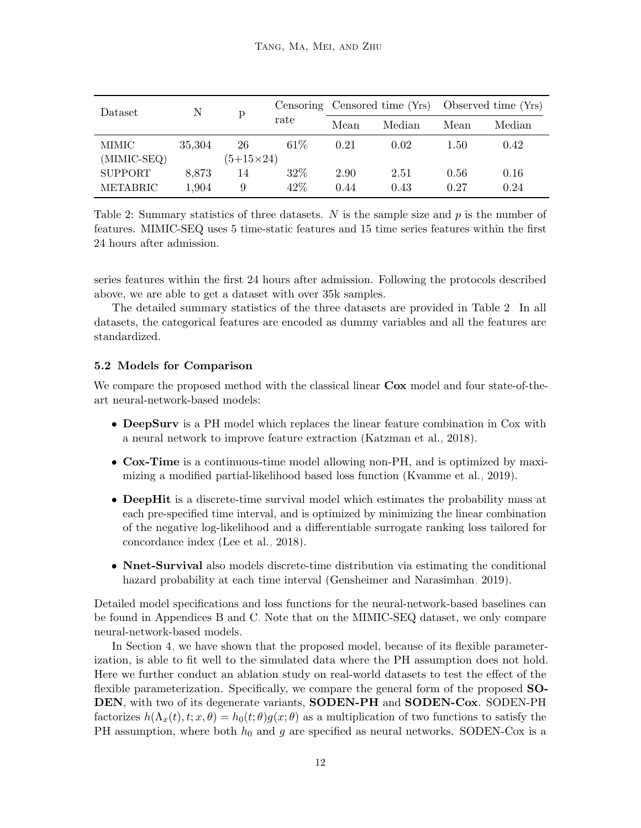<span id="page-11-0"></span>

| Dataset         | N<br>р |                  | Censoring Censored time (Yrs) Observed time (Yrs) |      |        |      |        |
|-----------------|--------|------------------|---------------------------------------------------|------|--------|------|--------|
|                 |        |                  | rate                                              | Mean | Median | Mean | Median |
| MIMIC           | 35,304 | 26               | 61%                                               | 0.21 | 0.02   | 1.50 | 0.42   |
| (MIMIC-SEQ)     |        | $(5+15\times24)$ |                                                   |      |        |      |        |
| <b>SUPPORT</b>  | 8,873  | 14               | 32%                                               | 2.90 | 2.51   | 0.56 | 0.16   |
| <b>METABRIC</b> | 1,904  | 9                | $42\%$                                            | 0.44 | 0.43   | 0.27 | 0.24   |

Table 2: Summary statistics of three datasets. N is the sample size and  $p$  is the number of features. MIMIC-SEQ uses 5 time-static features and 15 time series features within the first 24 hours after admission.

series features within the first 24 hours after admission. Following the protocols described above, we are able to get a dataset with over 35k samples.

The detailed summary statistics of the three datasets are provided in Table [2.](#page-11-0) In all datasets, the categorical features are encoded as dummy variables and all the features are standardized.

### 5.2 Models for Comparison

We compare the proposed method with the classical linear **Cox** model and four state-of-theart neural-network-based models:

- DeepSurv is a PH model which replaces the linear feature combination in Cox with a neural network to improve feature extraction [\(Katzman et al., 2018\)](#page-22-0).
- Cox-Time is a continuous-time model allowing non-PH, and is optimized by maximizing a modified partial-likelihood based loss function [\(Kvamme et al., 2019\)](#page-22-2).
- DeepHit is a discrete-time survival model which estimates the probability mass at each pre-specified time interval, and is optimized by minimizing the linear combination of the negative log-likelihood and a differentiable surrogate ranking loss tailored for concordance index [\(Lee et al., 2018\)](#page-22-1).
- Nnet-Survival also models discrete-time distribution via estimating the conditional hazard probability at each time interval [\(Gensheimer and Narasimhan, 2019\)](#page-21-3).

Detailed model specifications and loss functions for the neural-network-based baselines can be found in Appendices [B](#page-25-1) and [C.](#page-26-0) Note that on the MIMIC-SEQ dataset, we only compare neural-network-based models.

In Section [4,](#page-8-0) we have shown that the proposed model, because of its flexible parameterization, is able to fit well to the simulated data where the PH assumption does not hold. Here we further conduct an ablation study on real-world datasets to test the effect of the flexible parameterization. Specifically, we compare the general form of the proposed SO-DEN, with two of its degenerate variants, **SODEN-PH** and **SODEN-Cox**. SODEN-PH factorizes  $h(\Lambda_x(t), t; x, \theta) = h_0(t; \theta)g(x; \theta)$  as a multiplication of two functions to satisfy the PH assumption, where both  $h_0$  and g are specified as neural networks. SODEN-Cox is a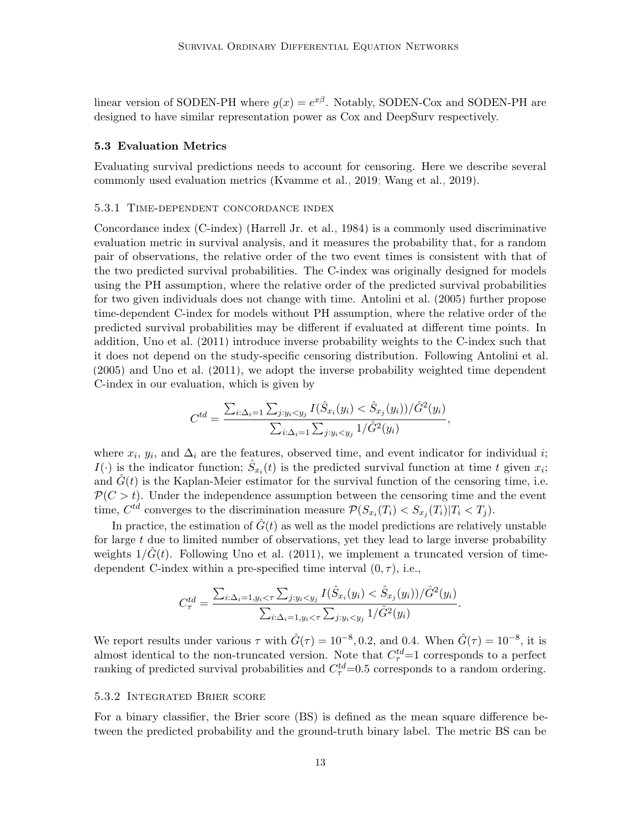linear version of SODEN-PH where  $g(x) = e^{x\beta}$ . Notably, SODEN-Cox and SODEN-PH are designed to have similar representation power as Cox and DeepSurv respectively.

#### 5.3 Evaluation Metrics

Evaluating survival predictions needs to account for censoring. Here we describe several commonly used evaluation metrics [\(Kvamme et al., 2019;](#page-22-2) [Wang et al., 2019\)](#page-24-5).

## 5.3.1 Time-dependent concordance index

Concordance index (C-index) [\(Harrell Jr. et al., 1984\)](#page-22-8) is a commonly used discriminative evaluation metric in survival analysis, and it measures the probability that, for a random pair of observations, the relative order of the two event times is consistent with that of the two predicted survival probabilities. The C-index was originally designed for models using the PH assumption, where the relative order of the predicted survival probabilities for two given individuals does not change with time. [Antolini et al.](#page-20-10) [\(2005\)](#page-20-10) further propose time-dependent C-index for models without PH assumption, where the relative order of the predicted survival probabilities may be different if evaluated at different time points. In addition, [Uno et al.](#page-24-6) [\(2011\)](#page-24-6) introduce inverse probability weights to the C-index such that it does not depend on the study-specific censoring distribution. Following [Antolini et al.](#page-20-10) [\(2005\)](#page-20-10) and [Uno et al.](#page-24-6) [\(2011\)](#page-24-6), we adopt the inverse probability weighted time dependent C-index in our evaluation, which is given by

$$
C^{td} = \frac{\sum_{i:\Delta_i=1} \sum_{j:y_i
$$

where  $x_i$ ,  $y_i$ , and  $\Delta_i$  are the features, observed time, and event indicator for individual i;  $I(\cdot)$  is the indicator function;  $\hat{S}_{x_i}(t)$  is the predicted survival function at time t given  $x_i$ ; and  $G(t)$  is the Kaplan-Meier estimator for the survival function of the censoring time, i.e.  $\mathcal{P}(C > t)$ . Under the independence assumption between the censoring time and the event time,  $C^{td}$  converges to the discrimination measure  $\mathcal{P}(S_{x_i}(T_i) < S_{x_j}(T_i)|T_i < T_j)$ .

In practice, the estimation of  $\hat{G}(t)$  as well as the model predictions are relatively unstable for large  $t$  due to limited number of observations, yet they lead to large inverse probability weights  $1/G(t)$ . Following [Uno et al.](#page-24-6) [\(2011\)](#page-24-6), we implement a truncated version of timedependent C-index within a pre-specified time interval  $(0, \tau)$ , i.e.,

$$
C_{\tau}^{td} = \frac{\sum_{i:\Delta_i=1, y_i < \tau} \sum_{j:y_i < y_j} I(\hat{S}_{x_i}(y_i) < \hat{S}_{x_j}(y_i))/\hat{G}^2(y_i)}{\sum_{i:\Delta_i=1, y_i < \tau} \sum_{j:y_i < y_j} 1/\hat{G}^2(y_i)}.
$$

We report results under various  $\tau$  with  $\hat{G}(\tau) = 10^{-8}$ , 0.2, and 0.4. When  $\hat{G}(\tau) = 10^{-8}$ , it is almost identical to the non-truncated version. Note that  $C_{\tau}^{td}$  =1 corresponds to a perfect ranking of predicted survival probabilities and  $C_{\tau}^{td}$ =0.5 corresponds to a random ordering.

## 5.3.2 Integrated Brier score

For a binary classifier, the Brier score (BS) is defined as the mean square difference between the predicted probability and the ground-truth binary label. The metric BS can be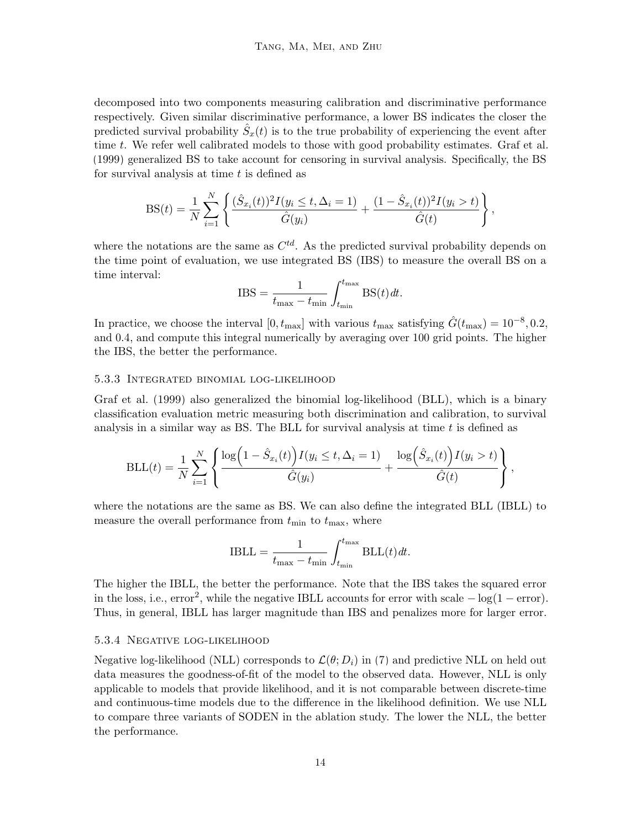decomposed into two components measuring calibration and discriminative performance respectively. Given similar discriminative performance, a lower BS indicates the closer the predicted survival probability  $\hat{S}_x(t)$  is to the true probability of experiencing the event after time t. We refer well calibrated models to those with good probability estimates. [Graf et al.](#page-22-9) [\(1999\)](#page-22-9) generalized BS to take account for censoring in survival analysis. Specifically, the BS for survival analysis at time  $t$  is defined as

$$
BS(t) = \frac{1}{N} \sum_{i=1}^{N} \left\{ \frac{(\hat{S}_{x_i}(t))^2 I(y_i \le t, \Delta_i = 1)}{\hat{G}(y_i)} + \frac{(1 - \hat{S}_{x_i}(t))^2 I(y_i > t)}{\hat{G}(t)} \right\},\,
$$

where the notations are the same as  $C^{td}$ . As the predicted survival probability depends on the time point of evaluation, we use integrated BS (IBS) to measure the overall BS on a time interval:

$$
IBS = \frac{1}{t_{\text{max}} - t_{\text{min}}} \int_{t_{\text{min}}}^{t_{\text{max}}} BS(t) dt.
$$

In practice, we choose the interval  $[0, t_{\text{max}}]$  with various  $t_{\text{max}}$  satisfying  $\hat{G}(t_{\text{max}}) = 10^{-8}, 0.2$ , and 0.4, and compute this integral numerically by averaging over 100 grid points. The higher the IBS, the better the performance.

#### 5.3.3 Integrated binomial log-likelihood

[Graf et al.](#page-22-9) [\(1999\)](#page-22-9) also generalized the binomial log-likelihood (BLL), which is a binary classification evaluation metric measuring both discrimination and calibration, to survival analysis in a similar way as BS. The BLL for survival analysis at time  $t$  is defined as

$$
BLL(t) = \frac{1}{N} \sum_{i=1}^{N} \left\{ \frac{\log (1 - \hat{S}_{x_i}(t)) I(y_i \le t, \Delta_i = 1)}{\hat{G}(y_i)} + \frac{\log (\hat{S}_{x_i}(t)) I(y_i > t)}{\hat{G}(t)} \right\},\,
$$

where the notations are the same as BS. We can also define the integrated BLL (IBLL) to measure the overall performance from  $t_{\min}$  to  $t_{\max}$ , where

$$
IBLL = \frac{1}{t_{\text{max}} - t_{\text{min}}} \int_{t_{\text{min}}}^{t_{\text{max}}} \text{BLL}(t) dt.
$$

The higher the IBLL, the better the performance. Note that the IBS takes the squared error in the loss, i.e.,  $error^2$ , while the negative IBLL accounts for error with scale  $- \log(1 - error)$ . Thus, in general, IBLL has larger magnitude than IBS and penalizes more for larger error.

#### 5.3.4 Negative log-likelihood

Negative log-likelihood (NLL) corresponds to  $\mathcal{L}(\theta; D_i)$  in [\(7\)](#page-7-2) and predictive NLL on held out data measures the goodness-of-fit of the model to the observed data. However, NLL is only applicable to models that provide likelihood, and it is not comparable between discrete-time and continuous-time models due to the difference in the likelihood definition. We use NLL to compare three variants of SODEN in the ablation study. The lower the NLL, the better the performance.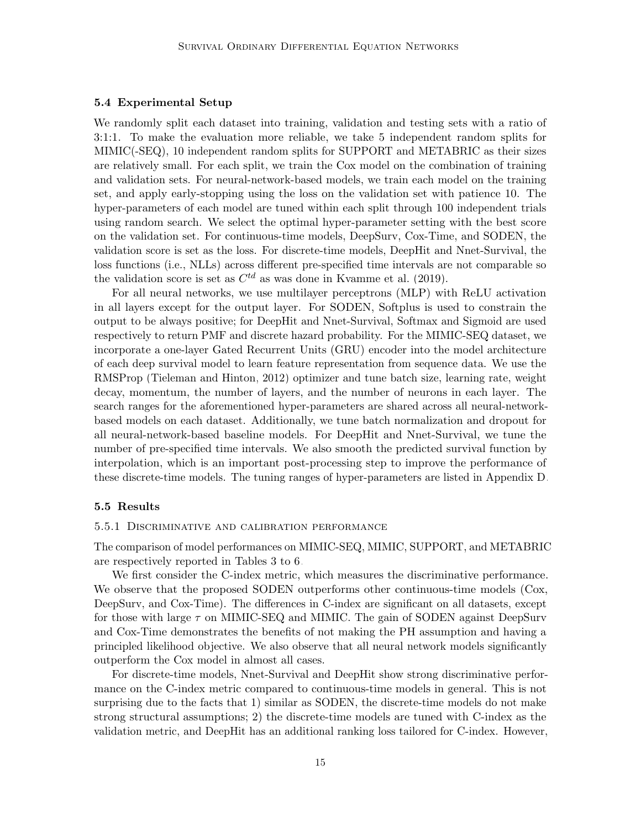#### 5.4 Experimental Setup

We randomly split each dataset into training, validation and testing sets with a ratio of 3:1:1. To make the evaluation more reliable, we take 5 independent random splits for MIMIC(-SEQ), 10 independent random splits for SUPPORT and METABRIC as their sizes are relatively small. For each split, we train the Cox model on the combination of training and validation sets. For neural-network-based models, we train each model on the training set, and apply early-stopping using the loss on the validation set with patience 10. The hyper-parameters of each model are tuned within each split through 100 independent trials using random search. We select the optimal hyper-parameter setting with the best score on the validation set. For continuous-time models, DeepSurv, Cox-Time, and SODEN, the validation score is set as the loss. For discrete-time models, DeepHit and Nnet-Survival, the loss functions (i.e., NLLs) across different pre-specified time intervals are not comparable so the validation score is set as  $C^{td}$  as was done in [Kvamme et al.](#page-22-2) [\(2019\)](#page-22-2).

For all neural networks, we use multilayer perceptrons (MLP) with ReLU activation in all layers except for the output layer. For SODEN, Softplus is used to constrain the output to be always positive; for DeepHit and Nnet-Survival, Softmax and Sigmoid are used respectively to return PMF and discrete hazard probability. For the MIMIC-SEQ dataset, we incorporate a one-layer Gated Recurrent Units (GRU) encoder into the model architecture of each deep survival model to learn feature representation from sequence data. We use the RMSProp [\(Tieleman and Hinton, 2012\)](#page-23-11) optimizer and tune batch size, learning rate, weight decay, momentum, the number of layers, and the number of neurons in each layer. The search ranges for the aforementioned hyper-parameters are shared across all neural-networkbased models on each dataset. Additionally, we tune batch normalization and dropout for all neural-network-based baseline models. For DeepHit and Nnet-Survival, we tune the number of pre-specified time intervals. We also smooth the predicted survival function by interpolation, which is an important post-processing step to improve the performance of these discrete-time models. The tuning ranges of hyper-parameters are listed in Appendix [D.](#page-27-0)

### 5.5 Results

#### 5.5.1 Discriminative and calibration performance

The comparison of model performances on MIMIC-SEQ, MIMIC, SUPPORT, and METABRIC are respectively reported in Tables [3](#page-15-0) to [6.](#page-18-0)

We first consider the C-index metric, which measures the discriminative performance. We observe that the proposed SODEN outperforms other continuous-time models (Cox, DeepSurv, and Cox-Time). The differences in C-index are significant on all datasets, except for those with large  $\tau$  on MIMIC-SEQ and MIMIC. The gain of SODEN against DeepSurv and Cox-Time demonstrates the benefits of not making the PH assumption and having a principled likelihood objective. We also observe that all neural network models significantly outperform the Cox model in almost all cases.

For discrete-time models, Nnet-Survival and DeepHit show strong discriminative performance on the C-index metric compared to continuous-time models in general. This is not surprising due to the facts that 1) similar as SODEN, the discrete-time models do not make strong structural assumptions; 2) the discrete-time models are tuned with C-index as the validation metric, and DeepHit has an additional ranking loss tailored for C-index. However,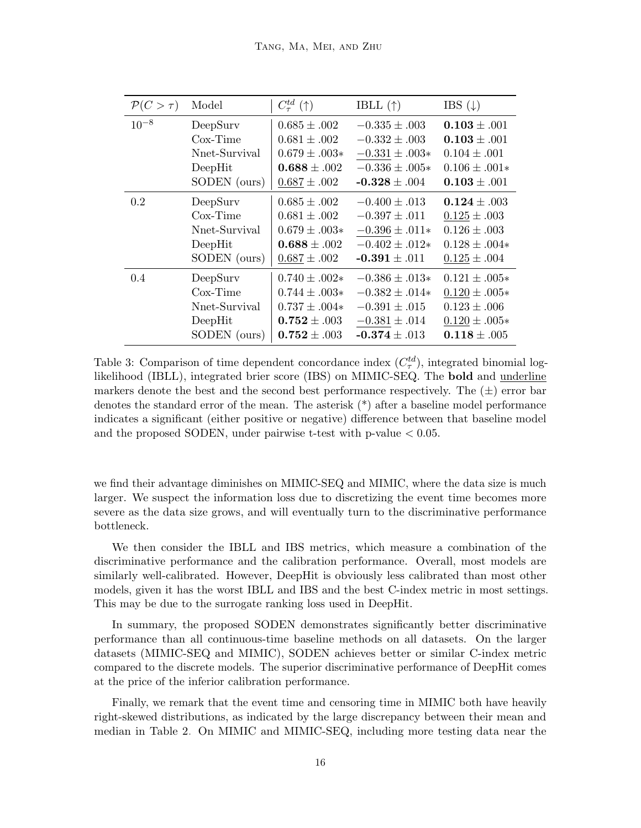<span id="page-15-0"></span>

| $\mathcal{P}(C>\tau)$ | Model         | $C_{\tau}^{td}(\uparrow)$ | IBLL $(\uparrow)$  | IBS $(\downarrow)$ |
|-----------------------|---------------|---------------------------|--------------------|--------------------|
| $10^{-8}$             | DeepSurv      | $0.685 \pm .002$          | $-0.335 \pm .003$  | $0.103 \pm .001$   |
|                       | $Cox-Time$    | $0.681 \pm .002$          | $-0.332 \pm .003$  | $0.103 \pm .001$   |
|                       | Nnet-Survival | $0.679 \pm .003*$         | $-0.331 \pm .003*$ | $0.104 \pm .001$   |
|                       | DeepHit       | $0.688 \pm .002$          | $-0.336 \pm .005*$ | $0.106 \pm .001*$  |
|                       | SODEN (ours)  | $0.687 \pm .002$          | $-0.328 \pm .004$  | $0.103 \pm .001$   |
| 0.2                   | DeepSurv      | $0.685 \pm .002$          | $-0.400 \pm .013$  | $0.124 \pm .003$   |
|                       | $Cox-Time$    | $0.681 \pm .002$          | $-0.397 \pm .011$  | $0.125 \pm .003$   |
|                       | Nnet-Survival | $0.679 \pm .003*$         | $-0.396 \pm .011*$ | $0.126 \pm .003$   |
|                       | DeepHit       | $0.688 \pm .002$          | $-0.402 \pm .012*$ | $0.128 \pm .004*$  |
|                       | SODEN (ours)  | $0.687 \pm .002$          | $-0.391 \pm .011$  | $0.125 \pm .004$   |
| 0.4                   | DeepSurv      | $0.740 \pm .002*$         | $-0.386 \pm .013*$ | $0.121 \pm .005*$  |
|                       | $Cox-Time$    | $0.744 \pm .003*$         | $-0.382 \pm .014*$ | $0.120 \pm .005*$  |
|                       | Nnet-Survival | $0.737 \pm .004*$         | $-0.391 \pm .015$  | $0.123 \pm .006$   |
|                       | DeepHit       | $0.752 \pm .003$          | $-0.381 \pm .014$  | $0.120 \pm .005*$  |
|                       | SODEN (ours)  | $0.752 \pm .003$          | $-0.374 \pm .013$  | $0.118 \pm .005$   |

Table 3: Comparison of time dependent concordance index  $(C_{\tau}^{td})$ , integrated binomial loglikelihood (IBLL), integrated brier score (IBS) on MIMIC-SEQ. The bold and underline markers denote the best and the second best performance respectively. The  $(\pm)$  error bar denotes the standard error of the mean. The asterisk (\*) after a baseline model performance indicates a significant (either positive or negative) difference between that baseline model and the proposed SODEN, under pairwise t-test with p-value  $< 0.05$ .

we find their advantage diminishes on MIMIC-SEQ and MIMIC, where the data size is much larger. We suspect the information loss due to discretizing the event time becomes more severe as the data size grows, and will eventually turn to the discriminative performance bottleneck.

We then consider the IBLL and IBS metrics, which measure a combination of the discriminative performance and the calibration performance. Overall, most models are similarly well-calibrated. However, DeepHit is obviously less calibrated than most other models, given it has the worst IBLL and IBS and the best C-index metric in most settings. This may be due to the surrogate ranking loss used in DeepHit.

In summary, the proposed SODEN demonstrates significantly better discriminative performance than all continuous-time baseline methods on all datasets. On the larger datasets (MIMIC-SEQ and MIMIC), SODEN achieves better or similar C-index metric compared to the discrete models. The superior discriminative performance of DeepHit comes at the price of the inferior calibration performance.

Finally, we remark that the event time and censoring time in MIMIC both have heavily right-skewed distributions, as indicated by the large discrepancy between their mean and median in Table [2.](#page-11-0) On MIMIC and MIMIC-SEQ, including more testing data near the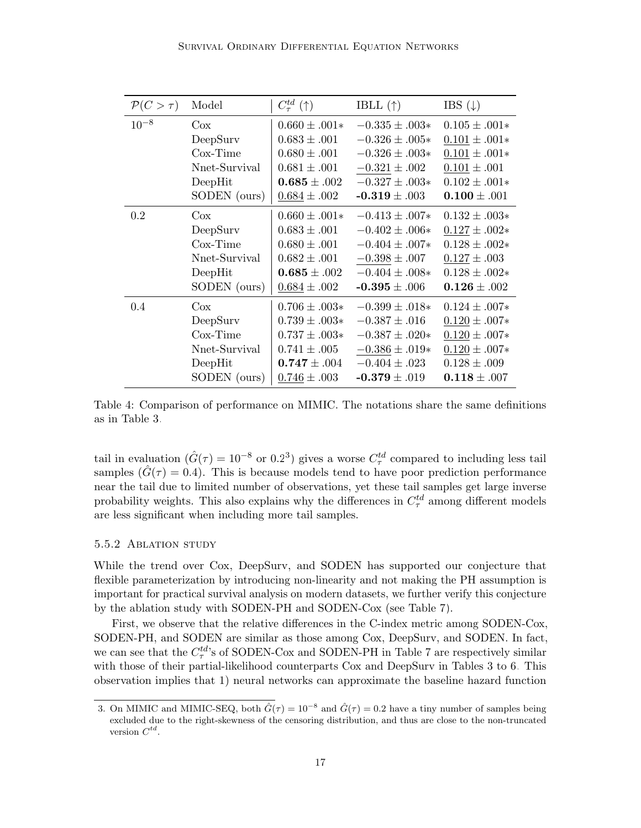| $\mathcal{P}(C>\tau)$ | Model         | $C_{\tau}^{td}$ (†) | IBLL $(\uparrow)$  | IBS $(\downarrow)$ |
|-----------------------|---------------|---------------------|--------------------|--------------------|
| $10^{-8}$             | Cox           | $0.660 \pm .001*$   | $-0.335 \pm .003*$ | $0.105 \pm .001*$  |
|                       | DeepSurv      | $0.683 \pm .001$    | $-0.326 \pm .005*$ | $0.101 \pm .001*$  |
|                       | $Cox-Time$    | $0.680 \pm .001$    | $-0.326 \pm .003*$ | $0.101 \pm .001*$  |
|                       | Nnet-Survival | $0.681 \pm .001$    | $-0.321 \pm .002$  | $0.101 \pm .001$   |
|                       | DeepHit       | $0.685 \pm .002$    | $-0.327 \pm .003*$ | $0.102 \pm .001*$  |
|                       | SODEN (ours)  | $0.684 \pm .002$    | $-0.319 \pm .003$  | $0.100 \pm .001$   |
| 0.2                   | $\cos$        | $0.660 \pm .001*$   | $-0.413 \pm .007*$ | $0.132 \pm .003*$  |
|                       | DeepSurv      | $0.683 \pm .001$    | $-0.402 \pm .006*$ | $0.127 \pm .002*$  |
|                       | $Cox-Time$    | $0.680 \pm .001$    | $-0.404 \pm .007*$ | $0.128 \pm .002*$  |
|                       | Nnet-Survival | $0.682 \pm .001$    | $-0.398 \pm .007$  | $0.127 \pm .003$   |
|                       | DeepHit       | $0.685 \pm .002$    | $-0.404 \pm .008*$ | $0.128 \pm .002*$  |
|                       | SODEN (ours)  | $0.684 \pm .002$    | $-0.395 \pm .006$  | $0.126 \pm .002$   |
| 0.4                   | Cox           | $0.706 \pm .003*$   | $-0.399 \pm .018*$ | $0.124 \pm .007*$  |
|                       | DeepSurv      | $0.739 \pm .003*$   | $-0.387 \pm .016$  | $0.120 \pm .007*$  |
|                       | $Cox-Time$    | $0.737 \pm .003*$   | $-0.387 \pm .020*$ | $0.120 \pm .007*$  |
|                       | Nnet-Survival | $0.741 \pm .005$    | $-0.386 \pm .019*$ | $0.120 \pm .007*$  |
|                       | DeepHit       | $0.747 \pm .004$    | $-0.404 \pm .023$  | $0.128 \pm .009$   |
|                       | SODEN (ours)  | $0.746 \pm .003$    | $-0.379 \pm .019$  | $0.118 \pm .007$   |

Table 4: Comparison of performance on MIMIC. The notations share the same definitions as in Table [3.](#page-15-0)

tail in evaluation  $(\hat{G}(\tau) = 10^{-8} \text{ or } 0.2^3)$  $(\hat{G}(\tau) = 10^{-8} \text{ or } 0.2^3)$  $(\hat{G}(\tau) = 10^{-8} \text{ or } 0.2^3)$  gives a worse  $C_{\tau}^{td}$  compared to including less tail samples  $(\hat{G}(\tau) = 0.4)$ . This is because models tend to have poor prediction performance near the tail due to limited number of observations, yet these tail samples get large inverse probability weights. This also explains why the differences in  $C_{\tau}^{td}$  among different models are less significant when including more tail samples.

#### 5.5.2 Ablation study

While the trend over Cox, DeepSurv, and SODEN has supported our conjecture that flexible parameterization by introducing non-linearity and not making the PH assumption is important for practical survival analysis on modern datasets, we further verify this conjecture by the ablation study with SODEN-PH and SODEN-Cox (see Table [7\)](#page-19-1).

First, we observe that the relative differences in the C-index metric among SODEN-Cox, SODEN-PH, and SODEN are similar as those among Cox, DeepSurv, and SODEN. In fact, we can see that the  $C_{\tau}^{td}$ 's of SODEN-Cox and SODEN-PH in Table [7](#page-19-1) are respectively similar with those of their partial-likelihood counterparts Cox and DeepSurv in Tables [3](#page-15-0) to [6.](#page-18-0) This observation implies that 1) neural networks can approximate the baseline hazard function

<span id="page-16-0"></span><sup>3.</sup> On MIMIC and MIMIC-SEQ, both  $\hat{G}(\tau) = 10^{-8}$  and  $\hat{G}(\tau) = 0.2$  have a tiny number of samples being excluded due to the right-skewness of the censoring distribution, and thus are close to the non-truncated version  $C^{td}$ .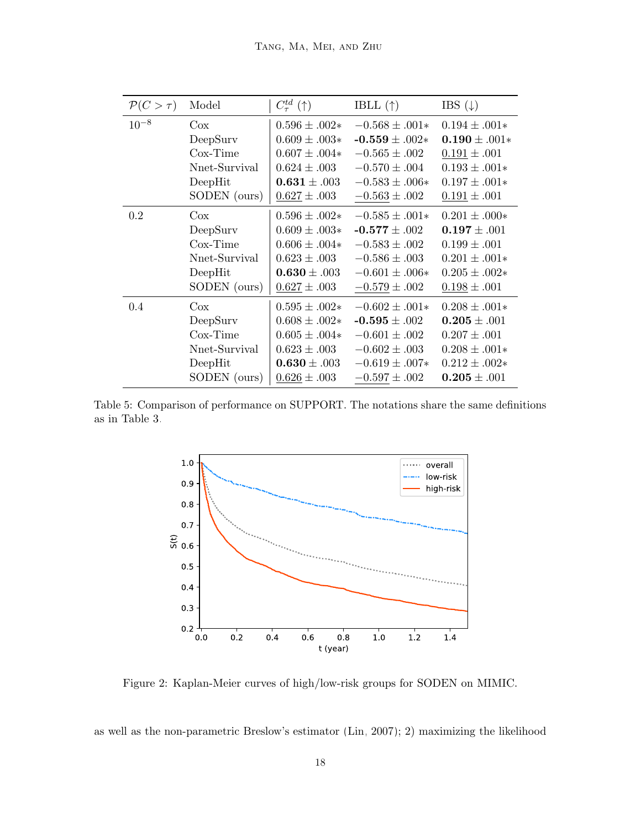| $\mathcal{P}(C>\tau)$ | Model         | $C_{\tau}^{td}$ (†) | IBLL $(\uparrow)$  | IBS $(\downarrow)$ |
|-----------------------|---------------|---------------------|--------------------|--------------------|
| $10^{-8}$             | $\cos$        | $0.596 \pm .002*$   | $-0.568 \pm .001*$ | $0.194 \pm .001*$  |
|                       | DeepSurv      | $0.609 \pm .003*$   | $-0.559 \pm .002*$ | $0.190 \pm .001*$  |
|                       | $Cox-Time$    | $0.607 \pm .004*$   | $-0.565 \pm .002$  | $0.191 \pm .001$   |
|                       | Nnet-Survival | $0.624 \pm .003$    | $-0.570 \pm .004$  | $0.193 \pm .001*$  |
|                       | DeepHit       | $0.631 \pm .003$    | $-0.583 \pm .006*$ | $0.197 \pm .001*$  |
|                       | SODEN (ours)  | $0.627 \pm .003$    | $-0.563 \pm .002$  | $0.191 \pm .001$   |
| 0.2                   | $\cos$        | $0.596 \pm .002*$   | $-0.585 \pm .001*$ | $0.201 \pm .000*$  |
|                       | DeepSurv      | $0.609 \pm .003*$   | $-0.577 \pm .002$  | $0.197 \pm .001$   |
|                       | $Cox-Time$    | $0.606 \pm .004*$   | $-0.583 \pm .002$  | $0.199 \pm .001$   |
|                       | Nnet-Survival | $0.623 \pm .003$    | $-0.586 \pm .003$  | $0.201 \pm .001*$  |
|                       | DeepHit       | $0.630 \pm .003$    | $-0.601 \pm .006*$ | $0.205 \pm .002*$  |
|                       | SODEN (ours)  | $0.627 \pm .003$    | $-0.579 \pm .002$  | $0.198 \pm .001$   |
| 0.4                   | $\cos$        | $0.595 \pm .002*$   | $-0.602 \pm .001*$ | $0.208 \pm .001*$  |
|                       | DeepSurv      | $0.608 \pm .002*$   | $-0.595 \pm .002$  | $0.205 \pm .001$   |
|                       | $\cos$ -Time  | $0.605 \pm .004*$   | $-0.601 \pm .002$  | $0.207 \pm .001$   |
|                       | Nnet-Survival | $0.623 \pm .003$    | $-0.602 \pm .003$  | $0.208 \pm .001*$  |
|                       | DeepHit       | $0.630 \pm .003$    | $-0.619 \pm .007*$ | $0.212 \pm .002*$  |
|                       | SODEN (ours)  | $0.626 \pm .003$    | $-0.597 \pm .002$  | $0.205 \pm .001$   |

<span id="page-17-0"></span>Table 5: Comparison of performance on SUPPORT. The notations share the same definitions as in Table [3.](#page-15-0)



Figure 2: Kaplan-Meier curves of high/low-risk groups for SODEN on MIMIC.

as well as the non-parametric Breslow's estimator [\(Lin, 2007\)](#page-22-10); 2) maximizing the likelihood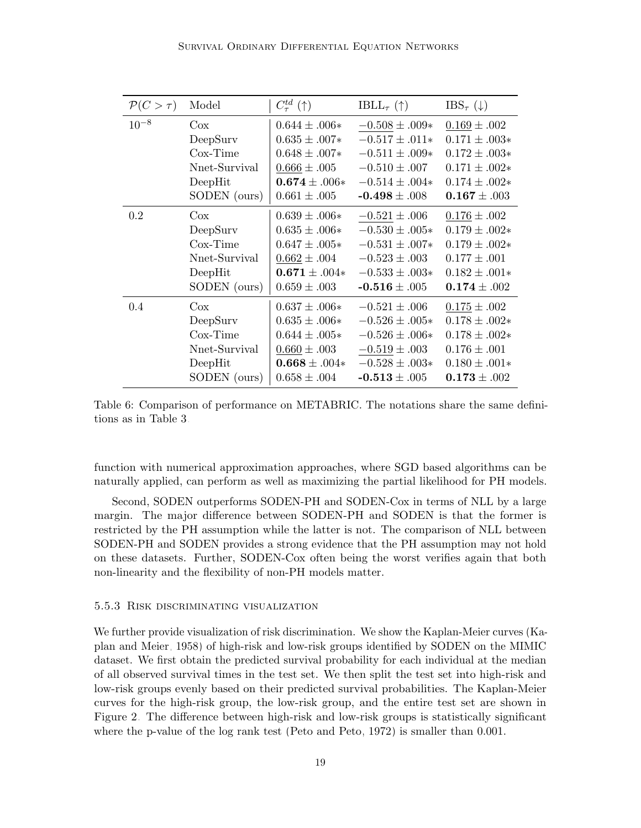<span id="page-18-0"></span>

| $\mathcal{P}(C>\tau)$ | Model         | $C_{\tau}^{td}$ (†) | IBLL <sub><math>\tau</math></sub> ( $\uparrow$ ) | $\text{IBS}_{\tau}(\downarrow)$ |
|-----------------------|---------------|---------------------|--------------------------------------------------|---------------------------------|
| $10^{-8}$             | Cox           | $0.644 \pm .006*$   | $-0.508 \pm .009*$                               | $0.169 \pm .002$                |
|                       | DeepSurv      | $0.635 \pm .007*$   | $-0.517\pm.011*$                                 | $0.171 \pm .003*$               |
|                       | $Cox-Time$    | $0.648 \pm .007*$   | $-0.511 \pm .009*$                               | $0.172 \pm .003*$               |
|                       | Nnet-Survival | $0.666 \pm .005$    | $-0.510 \pm .007$                                | $0.171 \pm .002*$               |
|                       | DeepHit       | $0.674 \pm .006*$   | $-0.514 \pm .004*$                               | $0.174 \pm .002*$               |
|                       | SODEN (ours)  | $0.661 \pm .005$    | $-0.498 \pm .008$                                | $0.167 \pm .003$                |
| 0.2                   | Cox           | $0.639 \pm .006*$   | $-0.521 \pm .006$                                | $0.176 \pm .002$                |
|                       | DeepSurv      | $0.635 \pm .006*$   | $-0.530 \pm .005*$                               | $0.179 \pm .002*$               |
|                       | $Cox-Time$    | $0.647 \pm .005*$   | $-0.531 \pm .007*$                               | $0.179 \pm .002*$               |
|                       | Nnet-Survival | $0.662 \pm .004$    | $-0.523 \pm .003$                                | $0.177 \pm .001$                |
|                       | DeepHit       | $0.671 \pm .004*$   | $-0.533 \pm .003*$                               | $0.182 \pm .001*$               |
|                       | SODEN (ours)  | $0.659 \pm .003$    | $-0.516 \pm .005$                                | $0.174 \pm .002$                |
| 0.4                   | Cox           | $0.637 \pm .006*$   | $-0.521 \pm .006$                                | $0.175 \pm .002$                |
|                       | DeepSurv      | $0.635 \pm .006*$   | $-0.526 \pm .005*$                               | $0.178 \pm .002*$               |
|                       | $Cox-Time$    | $0.644 \pm .005*$   | $-0.526 \pm .006*$                               | $0.178 \pm .002*$               |
|                       | Nnet-Survival | $0.660 \pm .003$    | $-0.519 \pm .003$                                | $0.176 \pm .001$                |
|                       | DeepHit       | $0.668 \pm .004*$   | $-0.528 \pm .003*$                               | $0.180 \pm .001*$               |
|                       | SODEN (ours)  | $0.658 \pm .004$    | $-0.513 \pm .005$                                | $0.173 \pm .002$                |

Table 6: Comparison of performance on METABRIC. The notations share the same definitions as in Table [3.](#page-15-0)

function with numerical approximation approaches, where SGD based algorithms can be naturally applied, can perform as well as maximizing the partial likelihood for PH models.

Second, SODEN outperforms SODEN-PH and SODEN-Cox in terms of NLL by a large margin. The major difference between SODEN-PH and SODEN is that the former is restricted by the PH assumption while the latter is not. The comparison of NLL between SODEN-PH and SODEN provides a strong evidence that the PH assumption may not hold on these datasets. Further, SODEN-Cox often being the worst verifies again that both non-linearity and the flexibility of non-PH models matter.

#### 5.5.3 Risk discriminating visualization

We further provide visualization of risk discrimination. We show the Kaplan-Meier curves [\(Ka](#page-22-11)[plan and Meier, 1958\)](#page-22-11) of high-risk and low-risk groups identified by SODEN on the MIMIC dataset. We first obtain the predicted survival probability for each individual at the median of all observed survival times in the test set. We then split the test set into high-risk and low-risk groups evenly based on their predicted survival probabilities. The Kaplan-Meier curves for the high-risk group, the low-risk group, and the entire test set are shown in Figure [2.](#page-17-0) The difference between high-risk and low-risk groups is statistically significant where the p-value of the log rank test [\(Peto and Peto, 1972\)](#page-23-8) is smaller than 0.001.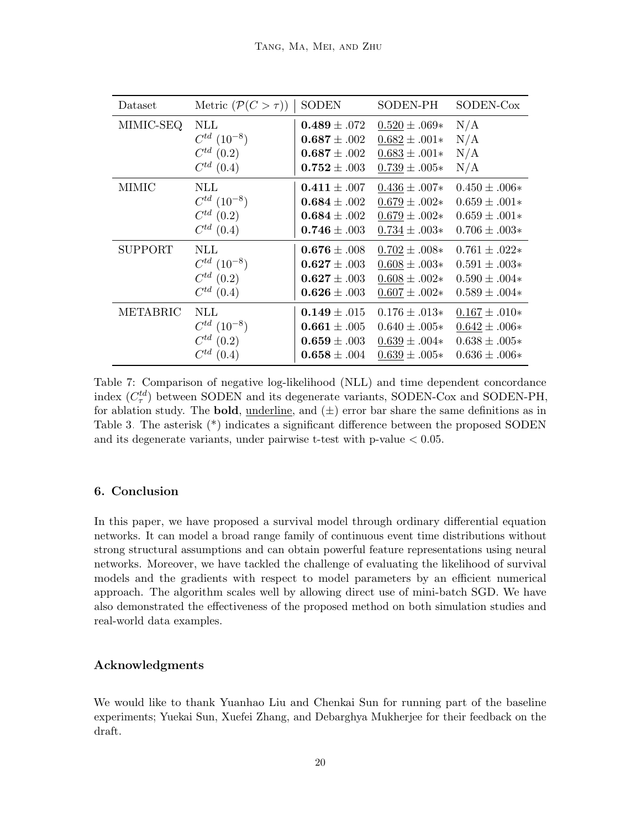<span id="page-19-1"></span>

| Dataset        | Metric $(\mathcal{P}(C > \tau))$ | <b>SODEN</b>     | SODEN-PH          | SODEN-Cox         |
|----------------|----------------------------------|------------------|-------------------|-------------------|
| MIMIC-SEQ      | NLL                              | $0.489 \pm .072$ | $0.520 \pm .069*$ | N/A               |
|                | $C^{td}$ $(10^{-8})$             | $0.687 \pm .002$ | $0.682 \pm .001*$ | N/A               |
|                | $C^{td}$ (0.2)                   | $0.687 \pm .002$ | $0.683 \pm .001*$ | N/A               |
|                | $C^{td}$ (0.4)                   | $0.752 \pm .003$ | $0.739 \pm .005*$ | N/A               |
| <b>MIMIC</b>   | NLL                              | $0.411 \pm .007$ | $0.436 \pm .007*$ | $0.450 \pm .006*$ |
|                | $C^{td}$ $(10^{-8})$             | $0.684 \pm .002$ | $0.679 \pm .002*$ | $0.659 \pm .001*$ |
|                | $C^{td}$ (0.2)                   | $0.684 \pm .002$ | $0.679 \pm .002*$ | $0.659 \pm .001*$ |
|                | $C^{td}$ (0.4)                   | $0.746 \pm .003$ | $0.734 \pm .003*$ | $0.706 \pm .003*$ |
| <b>SUPPORT</b> | NLL                              | $0.676 \pm .008$ | $0.702 \pm .008*$ | $0.761 \pm .022*$ |
|                | $C^{td}$ $(10^{-8})$             | $0.627 \pm .003$ | $0.608 \pm .003*$ | $0.591 \pm .003*$ |
|                | $C^{td}$ (0.2)                   | $0.627 \pm .003$ | $0.608 \pm .002*$ | $0.590 \pm .004*$ |
|                | $C^{td}$ (0.4)                   | $0.626 \pm .003$ | $0.607 \pm .002*$ | $0.589 \pm .004*$ |
| METABRIC       | NLL                              | $0.149 \pm .015$ | $0.176 \pm .013*$ | $0.167 \pm .010*$ |
|                | $C^{td}$ $(10^{-8})$             | $0.661 \pm .005$ | $0.640 \pm .005*$ | $0.642 \pm .006*$ |
|                | $C^{td}$ (0.2)                   | $0.659 \pm .003$ | $0.639 \pm .004*$ | $0.638 \pm .005*$ |
|                | $C^{td}$ (0.4)                   | $0.658 \pm .004$ | $0.639 \pm .005*$ | $0.636 \pm .006*$ |

Table 7: Comparison of negative log-likelihood (NLL) and time dependent concordance index  $(C_{\tau}^{td})$  between SODEN and its degenerate variants, SODEN-Cox and SODEN-PH, for ablation study. The **bold**, <u>underline</u>, and  $(\pm)$  error bar share the same definitions as in Table [3.](#page-15-0) The asterisk (\*) indicates a significant difference between the proposed SODEN and its degenerate variants, under pairwise t-test with p-value  $< 0.05$ .

## <span id="page-19-0"></span>6. Conclusion

In this paper, we have proposed a survival model through ordinary differential equation networks. It can model a broad range family of continuous event time distributions without strong structural assumptions and can obtain powerful feature representations using neural networks. Moreover, we have tackled the challenge of evaluating the likelihood of survival models and the gradients with respect to model parameters by an efficient numerical approach. The algorithm scales well by allowing direct use of mini-batch SGD. We have also demonstrated the effectiveness of the proposed method on both simulation studies and real-world data examples.

## Acknowledgments

We would like to thank Yuanhao Liu and Chenkai Sun for running part of the baseline experiments; Yuekai Sun, Xuefei Zhang, and Debarghya Mukherjee for their feedback on the draft.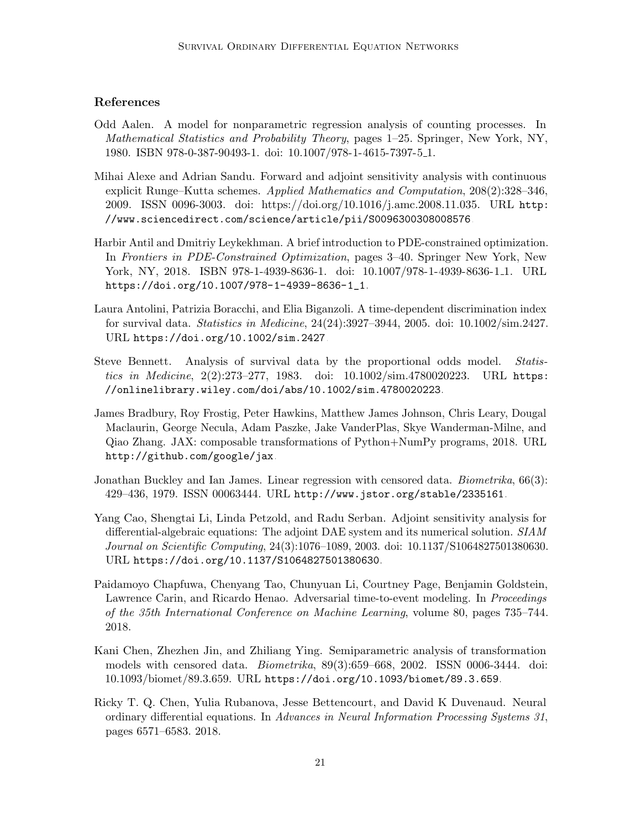## References

- <span id="page-20-1"></span>Odd Aalen. A model for nonparametric regression analysis of counting processes. In Mathematical Statistics and Probability Theory, pages 1–25. Springer, New York, NY, 1980. ISBN 978-0-387-90493-1. doi: 10.1007/978-1-4615-7397-5 1.
- <span id="page-20-7"></span>Mihai Alexe and Adrian Sandu. Forward and adjoint sensitivity analysis with continuous explicit Runge–Kutta schemes. Applied Mathematics and Computation, 208(2):328–346, 2009. ISSN 0096-3003. doi: https://doi.org/10.1016/j.amc.2008.11.035. URL [http:](http://www.sciencedirect.com/science/article/pii/S0096300308008576) [//www.sciencedirect.com/science/article/pii/S0096300308008576](http://www.sciencedirect.com/science/article/pii/S0096300308008576).
- <span id="page-20-5"></span>Harbir Antil and Dmitriy Leykekhman. A brief introduction to PDE-constrained optimization. In Frontiers in PDE-Constrained Optimization, pages 3–40. Springer New York, New York, NY, 2018. ISBN 978-1-4939-8636-1. doi: 10.1007/978-1-4939-8636-1<sub>-1</sub>. URL [https://doi.org/10.1007/978-1-4939-8636-1\\_1](https://doi.org/10.1007/978-1-4939-8636-1_1).
- <span id="page-20-10"></span>Laura Antolini, Patrizia Boracchi, and Elia Biganzoli. A time-dependent discrimination index for survival data. Statistics in Medicine, 24(24):3927–3944, 2005. doi: 10.1002/sim.2427. URL <https://doi.org/10.1002/sim.2427>.
- <span id="page-20-3"></span>Steve Bennett. Analysis of survival data by the proportional odds model. Statistics in Medicine, 2(2):273–277, 1983. doi: 10.1002/sim.4780020223. URL [https:](https://onlinelibrary.wiley.com/doi/abs/10.1002/sim.4780020223) [//onlinelibrary.wiley.com/doi/abs/10.1002/sim.4780020223](https://onlinelibrary.wiley.com/doi/abs/10.1002/sim.4780020223).
- <span id="page-20-9"></span>James Bradbury, Roy Frostig, Peter Hawkins, Matthew James Johnson, Chris Leary, Dougal Maclaurin, George Necula, Adam Paszke, Jake VanderPlas, Skye Wanderman-Milne, and Qiao Zhang. JAX: composable transformations of Python+NumPy programs, 2018. URL <http://github.com/google/jax>.
- <span id="page-20-2"></span>Jonathan Buckley and Ian James. Linear regression with censored data. *Biometrika*, 66(3): 429–436, 1979. ISSN 00063444. URL <http://www.jstor.org/stable/2335161>.
- <span id="page-20-6"></span>Yang Cao, Shengtai Li, Linda Petzold, and Radu Serban. Adjoint sensitivity analysis for differential-algebraic equations: The adjoint DAE system and its numerical solution. SIAM Journal on Scientific Computing, 24(3):1076–1089, 2003. doi: 10.1137/S1064827501380630. URL <https://doi.org/10.1137/S1064827501380630>.
- <span id="page-20-0"></span>Paidamoyo Chapfuwa, Chenyang Tao, Chunyuan Li, Courtney Page, Benjamin Goldstein, Lawrence Carin, and Ricardo Henao. Adversarial time-to-event modeling. In Proceedings of the 35th International Conference on Machine Learning, volume 80, pages 735–744. 2018.
- <span id="page-20-4"></span>Kani Chen, Zhezhen Jin, and Zhiliang Ying. Semiparametric analysis of transformation models with censored data. Biometrika, 89(3):659–668, 2002. ISSN 0006-3444. doi: 10.1093/biomet/89.3.659. URL <https://doi.org/10.1093/biomet/89.3.659>.
- <span id="page-20-8"></span>Ricky T. Q. Chen, Yulia Rubanova, Jesse Bettencourt, and David K Duvenaud. Neural ordinary differential equations. In Advances in Neural Information Processing Systems 31, pages 6571–6583. 2018.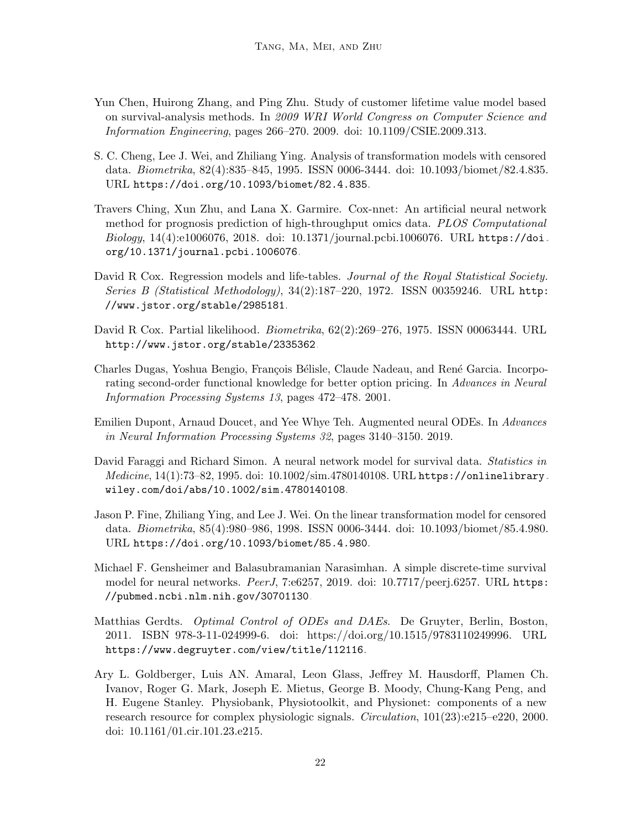- <span id="page-21-0"></span>Yun Chen, Huirong Zhang, and Ping Zhu. Study of customer lifetime value model based on survival-analysis methods. In 2009 WRI World Congress on Computer Science and Information Engineering, pages 266–270. 2009. doi: 10.1109/CSIE.2009.313.
- <span id="page-21-6"></span>S. C. Cheng, Lee J. Wei, and Zhiliang Ying. Analysis of transformation models with censored data. Biometrika, 82(4):835–845, 1995. ISSN 0006-3444. doi: 10.1093/biomet/82.4.835. URL <https://doi.org/10.1093/biomet/82.4.835>.
- <span id="page-21-2"></span>Travers Ching, Xun Zhu, and Lana X. Garmire. Cox-nnet: An artificial neural network method for prognosis prediction of high-throughput omics data. PLOS Computational Biology, 14(4):e1006076, 2018. doi: 10.1371/journal.pcbi.1006076. URL [https://doi.](https://doi.org/10.1371/journal.pcbi.1006076) [org/10.1371/journal.pcbi.1006076](https://doi.org/10.1371/journal.pcbi.1006076).
- <span id="page-21-5"></span>David R Cox. Regression models and life-tables. Journal of the Royal Statistical Society. Series B (Statistical Methodology), 34(2):187–220, 1972. ISSN 00359246. URL [http:](http://www.jstor.org/stable/2985181) [//www.jstor.org/stable/2985181](http://www.jstor.org/stable/2985181).
- <span id="page-21-4"></span>David R Cox. Partial likelihood. Biometrika, 62(2):269–276, 1975. ISSN 00063444. URL <http://www.jstor.org/stable/2335362>.
- <span id="page-21-10"></span>Charles Dugas, Yoshua Bengio, François Bélisle, Claude Nadeau, and René Garcia. Incorporating second-order functional knowledge for better option pricing. In Advances in Neural Information Processing Systems 13, pages 472–478. 2001.
- <span id="page-21-9"></span>Emilien Dupont, Arnaud Doucet, and Yee Whye Teh. Augmented neural ODEs. In Advances in Neural Information Processing Systems 32, pages 3140–3150. 2019.
- <span id="page-21-1"></span>David Faraggi and Richard Simon. A neural network model for survival data. Statistics in Medicine, 14(1):73–82, 1995. doi: 10.1002/sim.4780140108. URL [https://onlinelibrary.](https://onlinelibrary.wiley.com/doi/abs/10.1002/sim.4780140108) [wiley.com/doi/abs/10.1002/sim.4780140108](https://onlinelibrary.wiley.com/doi/abs/10.1002/sim.4780140108).
- <span id="page-21-7"></span>Jason P. Fine, Zhiliang Ying, and Lee J. Wei. On the linear transformation model for censored data. Biometrika, 85(4):980–986, 1998. ISSN 0006-3444. doi: 10.1093/biomet/85.4.980. URL <https://doi.org/10.1093/biomet/85.4.980>.
- <span id="page-21-3"></span>Michael F. Gensheimer and Balasubramanian Narasimhan. A simple discrete-time survival model for neural networks. PeerJ, 7:e6257, 2019. doi: 10.7717/peerj.6257. URL [https:](https://pubmed.ncbi.nlm.nih.gov/30701130) [//pubmed.ncbi.nlm.nih.gov/30701130](https://pubmed.ncbi.nlm.nih.gov/30701130).
- <span id="page-21-8"></span>Matthias Gerdts. Optimal Control of ODEs and DAEs. De Gruyter, Berlin, Boston, 2011. ISBN 978-3-11-024999-6. doi: https://doi.org/10.1515/9783110249996. URL <https://www.degruyter.com/view/title/112116>.
- <span id="page-21-11"></span>Ary L. Goldberger, Luis AN. Amaral, Leon Glass, Jeffrey M. Hausdorff, Plamen Ch. Ivanov, Roger G. Mark, Joseph E. Mietus, George B. Moody, Chung-Kang Peng, and H. Eugene Stanley. Physiobank, Physiotoolkit, and Physionet: components of a new research resource for complex physiologic signals. Circulation, 101(23):e215–e220, 2000. doi: 10.1161/01.cir.101.23.e215.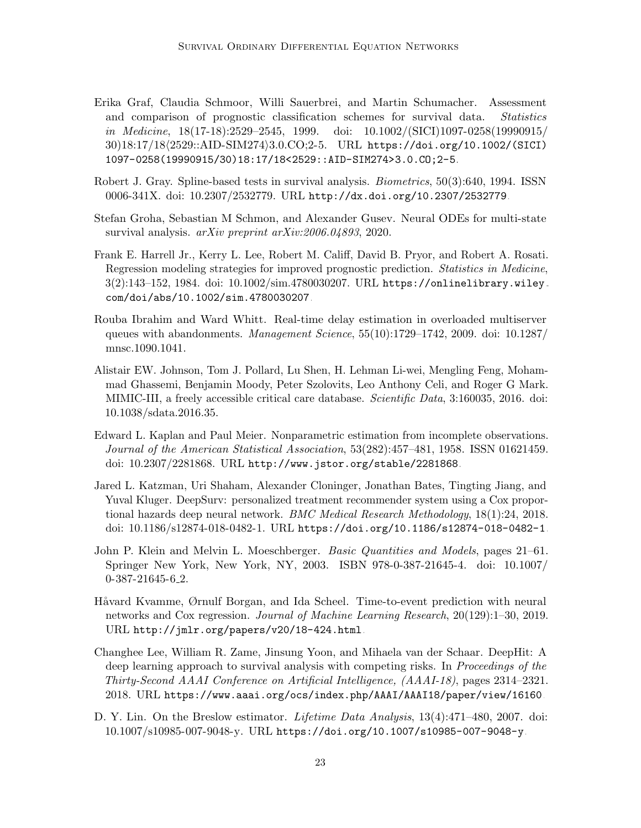- <span id="page-22-9"></span>Erika Graf, Claudia Schmoor, Willi Sauerbrei, and Martin Schumacher. Assessment and comparison of prognostic classification schemes for survival data. Statistics in Medicine, 18(17-18):2529–2545, 1999. doi: 10.1002/(SICI)1097-0258(19990915/ 30)18:17/18(2529::AID-SIM274)3.0.CO;2-5. URL [https://doi.org/10.1002/\(SICI\)](https://doi.org/10.1002/(SICI)1097-0258(19990915/30)18:17/18<2529::AID-SIM274>3.0.CO;2-5) [1097-0258\(19990915/30\)18:17/18<2529::AID-SIM274>3.0.CO;2-5](https://doi.org/10.1002/(SICI)1097-0258(19990915/30)18:17/18<2529::AID-SIM274>3.0.CO;2-5).
- <span id="page-22-3"></span>Robert J. Gray. Spline-based tests in survival analysis. Biometrics, 50(3):640, 1994. ISSN 0006-341X. doi: 10.2307/2532779. URL <http://dx.doi.org/10.2307/2532779>.
- <span id="page-22-4"></span>Stefan Groha, Sebastian M Schmon, and Alexander Gusev. Neural ODEs for multi-state survival analysis. arXiv preprint arXiv:2006.04893, 2020.
- <span id="page-22-8"></span>Frank E. Harrell Jr., Kerry L. Lee, Robert M. Califf, David B. Pryor, and Robert A. Rosati. Regression modeling strategies for improved prognostic prediction. Statistics in Medicine, 3(2):143–152, 1984. doi: 10.1002/sim.4780030207. URL [https://onlinelibrary.wiley.](https://onlinelibrary.wiley.com/doi/abs/10.1002/sim.4780030207) [com/doi/abs/10.1002/sim.4780030207](https://onlinelibrary.wiley.com/doi/abs/10.1002/sim.4780030207).
- <span id="page-22-6"></span>Rouba Ibrahim and Ward Whitt. Real-time delay estimation in overloaded multiserver queues with abandonments. Management Science, 55(10):1729–1742, 2009. doi: 10.1287/ mnsc.1090.1041.
- <span id="page-22-7"></span>Alistair EW. Johnson, Tom J. Pollard, Lu Shen, H. Lehman Li-wei, Mengling Feng, Mohammad Ghassemi, Benjamin Moody, Peter Szolovits, Leo Anthony Celi, and Roger G Mark. MIMIC-III, a freely accessible critical care database. Scientific Data, 3:160035, 2016. doi: 10.1038/sdata.2016.35.
- <span id="page-22-11"></span>Edward L. Kaplan and Paul Meier. Nonparametric estimation from incomplete observations. Journal of the American Statistical Association, 53(282):457–481, 1958. ISSN 01621459. doi: 10.2307/2281868. URL <http://www.jstor.org/stable/2281868>.
- <span id="page-22-0"></span>Jared L. Katzman, Uri Shaham, Alexander Cloninger, Jonathan Bates, Tingting Jiang, and Yuval Kluger. DeepSurv: personalized treatment recommender system using a Cox proportional hazards deep neural network. BMC Medical Research Methodology, 18(1):24, 2018. doi: 10.1186/s12874-018-0482-1. URL <https://doi.org/10.1186/s12874-018-0482-1>.
- <span id="page-22-5"></span>John P. Klein and Melvin L. Moeschberger. Basic Quantities and Models, pages 21–61. Springer New York, New York, NY, 2003. ISBN 978-0-387-21645-4. doi: 10.1007/ 0-387-21645-6 2.
- <span id="page-22-2"></span>Håvard Kvamme, Ørnulf Borgan, and Ida Scheel. Time-to-event prediction with neural networks and Cox regression. Journal of Machine Learning Research, 20(129):1–30, 2019. URL <http://jmlr.org/papers/v20/18-424.html>.
- <span id="page-22-1"></span>Changhee Lee, William R. Zame, Jinsung Yoon, and Mihaela van der Schaar. DeepHit: A deep learning approach to survival analysis with competing risks. In *Proceedings of the* Thirty-Second AAAI Conference on Artificial Intelligence, (AAAI-18), pages 2314–2321. 2018. URL <https://www.aaai.org/ocs/index.php/AAAI/AAAI18/paper/view/16160>.
- <span id="page-22-10"></span>D. Y. Lin. On the Breslow estimator. *Lifetime Data Analysis*, 13(4):471–480, 2007. doi: 10.1007/s10985-007-9048-y. URL <https://doi.org/10.1007/s10985-007-9048-y>.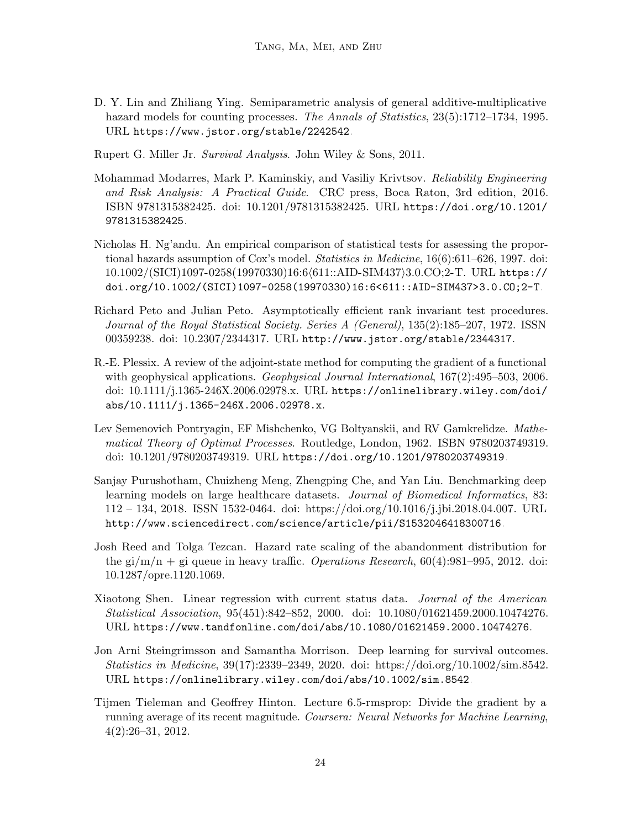<span id="page-23-6"></span>D. Y. Lin and Zhiliang Ying. Semiparametric analysis of general additive-multiplicative hazard models for counting processes. The Annals of Statistics, 23(5):1712–1734, 1995. URL <https://www.jstor.org/stable/2242542>.

<span id="page-23-0"></span>Rupert G. Miller Jr. Survival Analysis. John Wiley & Sons, 2011.

- <span id="page-23-1"></span>Mohammad Modarres, Mark P. Kaminskiy, and Vasiliy Krivtsov. Reliability Engineering and Risk Analysis: A Practical Guide. CRC press, Boca Raton, 3rd edition, 2016. ISBN 9781315382425. doi: 10.1201/9781315382425. URL [https://doi.org/10.1201/](https://doi.org/10.1201/9781315382425) [9781315382425](https://doi.org/10.1201/9781315382425).
- <span id="page-23-3"></span>Nicholas H. Ng'andu. An empirical comparison of statistical tests for assessing the proportional hazards assumption of Cox's model. Statistics in Medicine, 16(6):611–626, 1997. doi: 10.1002/(SICI)1097-0258(19970330)16:6/611::AID-SIM437}3.0.CO;2-T. URL [https://](https://doi.org/10.1002/(SICI)1097-0258(19970330)16:6<611::AID-SIM437>3.0.CO;2-T) [doi.org/10.1002/\(SICI\)1097-0258\(19970330\)16:6<611::AID-SIM437>3.0.CO;2-T](https://doi.org/10.1002/(SICI)1097-0258(19970330)16:6<611::AID-SIM437>3.0.CO;2-T).
- <span id="page-23-8"></span>Richard Peto and Julian Peto. Asymptotically efficient rank invariant test procedures. Journal of the Royal Statistical Society. Series A (General), 135(2):185–207, 1972. ISSN 00359238. doi: 10.2307/2344317. URL <http://www.jstor.org/stable/2344317>.
- <span id="page-23-5"></span>R.-E. Plessix. A review of the adjoint-state method for computing the gradient of a functional with geophysical applications. Geophysical Journal International,  $167(2):495-503$ , 2006. doi: 10.1111/j.1365-246X.2006.02978.x. URL [https://onlinelibrary.wiley.com/doi/](https://onlinelibrary.wiley.com/doi/abs/10.1111/j.1365-246X.2006.02978.x) [abs/10.1111/j.1365-246X.2006.02978.x](https://onlinelibrary.wiley.com/doi/abs/10.1111/j.1365-246X.2006.02978.x).
- <span id="page-23-4"></span>Lev Semenovich Pontryagin, EF Mishchenko, VG Boltyanskii, and RV Gamkrelidze. Mathematical Theory of Optimal Processes. Routledge, London, 1962. ISBN 9780203749319. doi: 10.1201/9780203749319. URL <https://doi.org/10.1201/9780203749319>.
- <span id="page-23-10"></span>Sanjay Purushotham, Chuizheng Meng, Zhengping Che, and Yan Liu. Benchmarking deep learning models on large healthcare datasets. Journal of Biomedical Informatics, 83: 112 – 134, 2018. ISSN 1532-0464. doi: https://doi.org/10.1016/j.jbi.2018.04.007. URL <http://www.sciencedirect.com/science/article/pii/S1532046418300716>.
- <span id="page-23-9"></span>Josh Reed and Tolga Tezcan. Hazard rate scaling of the abandonment distribution for the gi/m/n + gi queue in heavy traffic. Operations Research,  $60(4):981-995$ , 2012. doi: 10.1287/opre.1120.1069.
- <span id="page-23-7"></span>Xiaotong Shen. Linear regression with current status data. *Journal of the American* Statistical Association, 95(451):842–852, 2000. doi: 10.1080/01621459.2000.10474276. URL <https://www.tandfonline.com/doi/abs/10.1080/01621459.2000.10474276>.
- <span id="page-23-2"></span>Jon Arni Steingrimsson and Samantha Morrison. Deep learning for survival outcomes. Statistics in Medicine, 39(17):2339–2349, 2020. doi: https://doi.org/10.1002/sim.8542. URL <https://onlinelibrary.wiley.com/doi/abs/10.1002/sim.8542>.
- <span id="page-23-11"></span>Tijmen Tieleman and Geoffrey Hinton. Lecture 6.5-rmsprop: Divide the gradient by a running average of its recent magnitude. Coursera: Neural Networks for Machine Learning, 4(2):26–31, 2012.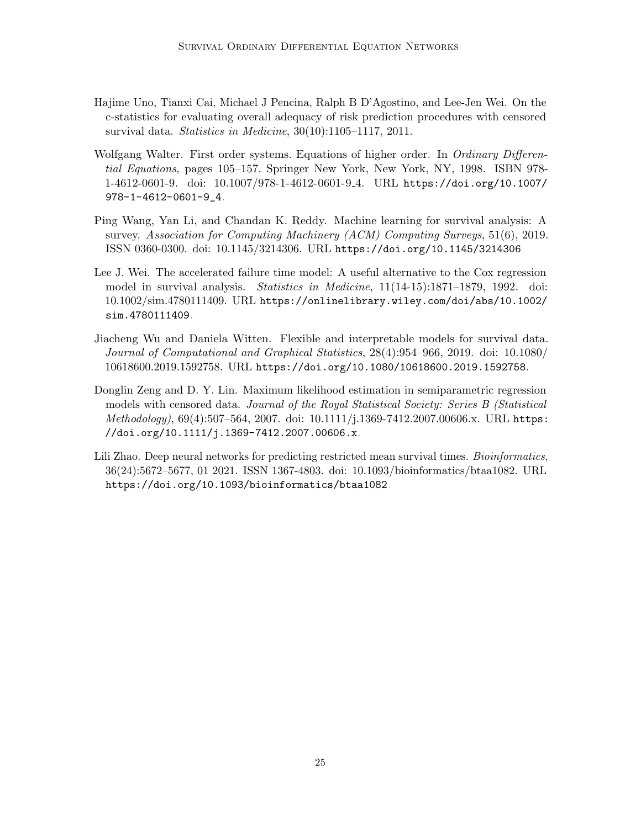- <span id="page-24-6"></span>Hajime Uno, Tianxi Cai, Michael J Pencina, Ralph B D'Agostino, and Lee-Jen Wei. On the c-statistics for evaluating overall adequacy of risk prediction procedures with censored survival data. Statistics in Medicine, 30(10):1105–1117, 2011.
- <span id="page-24-4"></span>Wolfgang Walter. First order systems. Equations of higher order. In *Ordinary Differen*tial Equations, pages 105–157. Springer New York, New York, NY, 1998. ISBN 978- 1-4612-0601-9. doi: 10.1007/978-1-4612-0601-9 4. URL [https://doi.org/10.1007/](https://doi.org/10.1007/978-1-4612-0601-9_4) [978-1-4612-0601-9\\_4](https://doi.org/10.1007/978-1-4612-0601-9_4).
- <span id="page-24-5"></span>Ping Wang, Yan Li, and Chandan K. Reddy. Machine learning for survival analysis: A survey. Association for Computing Machinery (ACM) Computing Surveys, 51(6), 2019. ISSN 0360-0300. doi: 10.1145/3214306. URL <https://doi.org/10.1145/3214306>.
- <span id="page-24-1"></span>Lee J. Wei. The accelerated failure time model: A useful alternative to the Cox regression model in survival analysis. Statistics in Medicine, 11(14-15):1871–1879, 1992. doi: 10.1002/sim.4780111409. URL [https://onlinelibrary.wiley.com/doi/abs/10.1002/](https://onlinelibrary.wiley.com/doi/abs/10.1002/sim.4780111409) [sim.4780111409](https://onlinelibrary.wiley.com/doi/abs/10.1002/sim.4780111409).
- <span id="page-24-3"></span>Jiacheng Wu and Daniela Witten. Flexible and interpretable models for survival data. Journal of Computational and Graphical Statistics, 28(4):954–966, 2019. doi: 10.1080/ 10618600.2019.1592758. URL <https://doi.org/10.1080/10618600.2019.1592758>.
- <span id="page-24-2"></span>Donglin Zeng and D. Y. Lin. Maximum likelihood estimation in semiparametric regression models with censored data. Journal of the Royal Statistical Society: Series B (Statistical Methodology), 69(4):507–564, 2007. doi: 10.1111/j.1369-7412.2007.00606.x. URL [https:](https://doi.org/10.1111/j.1369-7412.2007.00606.x) [//doi.org/10.1111/j.1369-7412.2007.00606.x](https://doi.org/10.1111/j.1369-7412.2007.00606.x).
- <span id="page-24-0"></span>Lili Zhao. Deep neural networks for predicting restricted mean survival times. *Bioinformatics*, 36(24):5672–5677, 01 2021. ISSN 1367-4803. doi: 10.1093/bioinformatics/btaa1082. URL <https://doi.org/10.1093/bioinformatics/btaa1082>.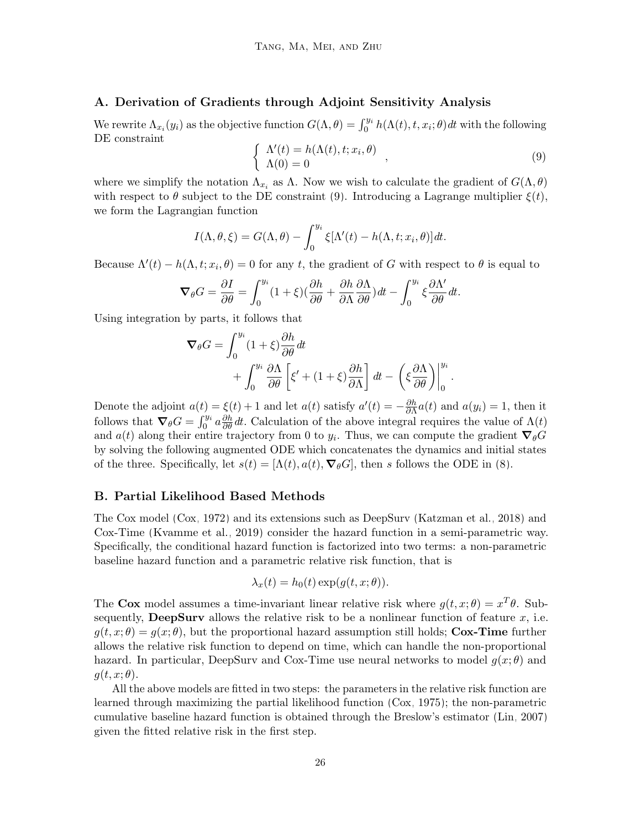## <span id="page-25-0"></span>A. Derivation of Gradients through Adjoint Sensitivity Analysis

<span id="page-25-2"></span>We rewrite  $\Lambda_{x_i}(y_i)$  as the objective function  $G(\Lambda,\theta) = \int_0^{y_i} h(\Lambda(t),t,x_i;\theta) dt$  with the following DE constraint

$$
\begin{cases}\n\Lambda'(t) = h(\Lambda(t), t; x_i, \theta) \\
\Lambda(0) = 0\n\end{cases}
$$
\n(9)

where we simplify the notation  $\Lambda_{x_i}$  as  $\Lambda$ . Now we wish to calculate the gradient of  $G(\Lambda, \theta)$ with respect to  $\theta$  subject to the DE constraint [\(9\)](#page-25-2). Introducing a Lagrange multiplier  $\xi(t)$ , we form the Lagrangian function

$$
I(\Lambda, \theta, \xi) = G(\Lambda, \theta) - \int_0^{y_i} \xi[\Lambda'(t) - h(\Lambda, t; x_i, \theta)] dt.
$$

Because  $\Lambda'(t) - h(\Lambda, t; x_i, \theta) = 0$  for any t, the gradient of G with respect to  $\theta$  is equal to

$$
\nabla_{\theta} G = \frac{\partial I}{\partial \theta} = \int_0^{y_i} (1+\xi)(\frac{\partial h}{\partial \theta} + \frac{\partial h}{\partial \Lambda} \frac{\partial \Lambda}{\partial \theta}) dt - \int_0^{y_i} \xi \frac{\partial \Lambda'}{\partial \theta} dt.
$$

Using integration by parts, it follows that

$$
\nabla_{\theta} G = \int_0^{y_i} (1+\xi) \frac{\partial h}{\partial \theta} dt + \int_0^{y_i} \frac{\partial \Lambda}{\partial \theta} \left[ \xi' + (1+\xi) \frac{\partial h}{\partial \Lambda} \right] dt - \left( \xi \frac{\partial \Lambda}{\partial \theta} \right) \Big|_0^{y_i} .
$$

Denote the adjoint  $a(t) = \xi(t) + 1$  and let  $a(t)$  satisfy  $a'(t) = -\frac{\partial h}{\partial \lambda}$  $\frac{\partial h}{\partial \Lambda} a(t)$  and  $a(y_i) = 1$ , then it follows that  $\nabla_{\theta} G = \int_0^{y_i} a \frac{\partial h}{\partial \theta} dt$ . Calculation of the above integral requires the value of  $\Lambda(t)$ and  $a(t)$  along their entire trajectory from 0 to  $y_i$ . Thus, we can compute the gradient  $\nabla_{\theta}G$ by solving the following augmented ODE which concatenates the dynamics and initial states of the three. Specifically, let  $s(t) = [\Lambda(t), a(t), \nabla_{\theta} G]$ , then s follows the ODE in [\(8\)](#page-7-1).

### <span id="page-25-1"></span>B. Partial Likelihood Based Methods

The Cox model [\(Cox, 1972\)](#page-21-5) and its extensions such as DeepSurv [\(Katzman et al., 2018\)](#page-22-0) and Cox-Time [\(Kvamme et al., 2019\)](#page-22-2) consider the hazard function in a semi-parametric way. Specifically, the conditional hazard function is factorized into two terms: a non-parametric baseline hazard function and a parametric relative risk function, that is

$$
\lambda_x(t) = h_0(t) \exp(g(t, x; \theta)).
$$

The Cox model assumes a time-invariant linear relative risk where  $g(t, x; \theta) = x^T \theta$ . Subsequently, **DeepSurv** allows the relative risk to be a nonlinear function of feature  $x$ , i.e.  $g(t, x; \theta) = g(x; \theta)$ , but the proportional hazard assumption still holds; Cox-Time further allows the relative risk function to depend on time, which can handle the non-proportional hazard. In particular, DeepSurv and Cox-Time use neural networks to model  $g(x; \theta)$  and  $g(t, x; \theta)$ .

All the above models are fitted in two steps: the parameters in the relative risk function are learned through maximizing the partial likelihood function [\(Cox, 1975\)](#page-21-4); the non-parametric cumulative baseline hazard function is obtained through the Breslow's estimator [\(Lin, 2007\)](#page-22-10) given the fitted relative risk in the first step.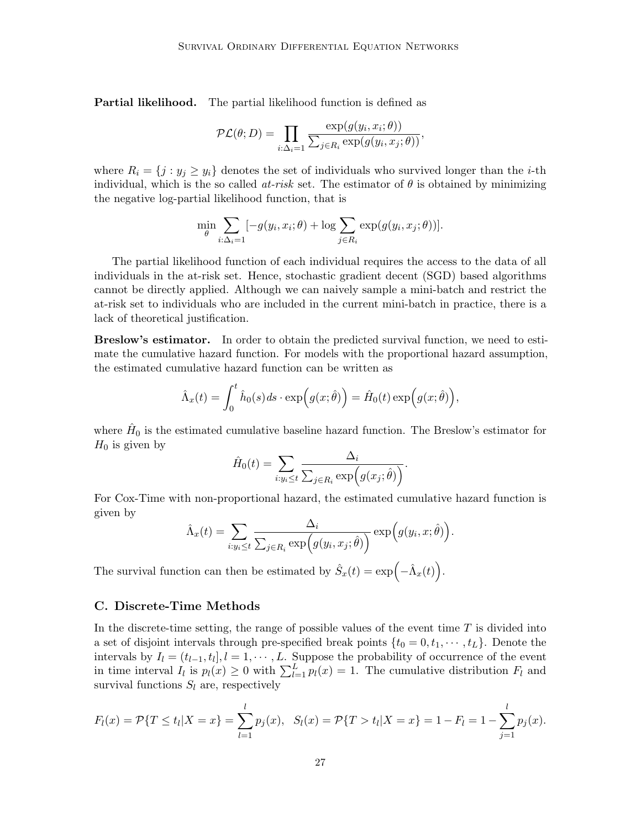Partial likelihood. The partial likelihood function is defined as

$$
\mathcal{PL}(\theta; D) = \prod_{i:\Delta_i=1} \frac{\exp(g(y_i, x_i; \theta))}{\sum_{j\in R_i} \exp(g(y_i, x_j; \theta))},
$$

where  $R_i = \{j : y_j \geq y_i\}$  denotes the set of individuals who survived longer than the *i*-th individual, which is the so called at-risk set. The estimator of  $\theta$  is obtained by minimizing the negative log-partial likelihood function, that is

$$
\min_{\theta} \sum_{i:\Delta_i=1} [-g(y_i, x_i; \theta) + \log \sum_{j\in R_i} \exp(g(y_i, x_j; \theta))].
$$

The partial likelihood function of each individual requires the access to the data of all individuals in the at-risk set. Hence, stochastic gradient decent (SGD) based algorithms cannot be directly applied. Although we can naively sample a mini-batch and restrict the at-risk set to individuals who are included in the current mini-batch in practice, there is a lack of theoretical justification.

Breslow's estimator. In order to obtain the predicted survival function, we need to estimate the cumulative hazard function. For models with the proportional hazard assumption, the estimated cumulative hazard function can be written as

$$
\hat{\Lambda}_x(t) = \int_0^t \hat{h}_0(s) ds \cdot \exp(g(x; \hat{\theta})) = \hat{H}_0(t) \exp(g(x; \hat{\theta})),
$$

where  $\hat{H}_0$  is the estimated cumulative baseline hazard function. The Breslow's estimator for  $H_0$  is given by

$$
\hat{H}_0(t) = \sum_{i:y_i \leq t} \frac{\Delta_i}{\sum_{j \in R_i} \exp(g(x_j; \hat{\theta}))}.
$$

For Cox-Time with non-proportional hazard, the estimated cumulative hazard function is given by

$$
\hat{\Lambda}_x(t) = \sum_{i:y_i \leq t} \frac{\Delta_i}{\sum_{j \in R_i} \exp(g(y_i, x_j; \hat{\theta}))} \exp(g(y_i, x; \hat{\theta})).
$$

The survival function can then be estimated by  $\hat{S}_x(t) = \exp(-\hat{\Lambda}_x(t)).$ 

## <span id="page-26-0"></span>C. Discrete-Time Methods

In the discrete-time setting, the range of possible values of the event time  $T$  is divided into a set of disjoint intervals through pre-specified break points  $\{t_0 = 0, t_1, \dots, t_L\}$ . Denote the intervals by  $I_l = (t_{l-1}, t_l], l = 1, \dots, L$ . Suppose the probability of occurrence of the event in time interval  $I_l$  is  $p_l(x) \geq 0$  with  $\sum_{l=1}^L p_l(x) = 1$ . The cumulative distribution  $F_l$  and survival functions  $S_l$  are, respectively

$$
F_l(x) = \mathcal{P}\{T \le t_l | X = x\} = \sum_{l=1}^l p_j(x), \ \ S_l(x) = \mathcal{P}\{T > t_l | X = x\} = 1 - F_l = 1 - \sum_{j=1}^l p_j(x).
$$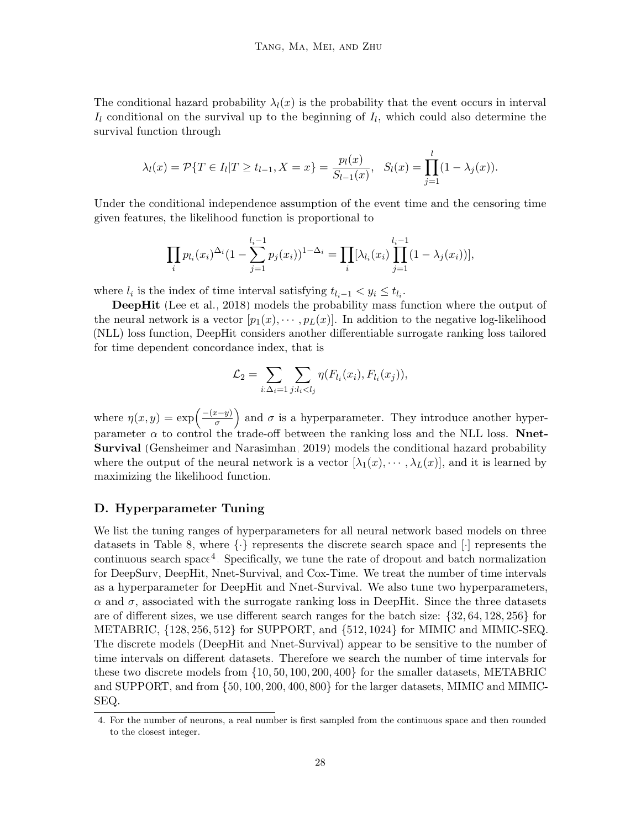The conditional hazard probability  $\lambda_l(x)$  is the probability that the event occurs in interval  $I_l$  conditional on the survival up to the beginning of  $I_l$ , which could also determine the survival function through

$$
\lambda_l(x) = \mathcal{P}\{T \in I_l | T \ge t_{l-1}, X = x\} = \frac{p_l(x)}{S_{l-1}(x)}, \quad S_l(x) = \prod_{j=1}^l (1 - \lambda_j(x)).
$$

Under the conditional independence assumption of the event time and the censoring time given features, the likelihood function is proportional to

$$
\prod_i p_{l_i}(x_i)^{\Delta_i} (1 - \sum_{j=1}^{l_i-1} p_j(x_i))^{1-\Delta_i} = \prod_i [\lambda_{l_i}(x_i) \prod_{j=1}^{l_i-1} (1 - \lambda_j(x_i))],
$$

where  $l_i$  is the index of time interval satisfying  $t_{l_i-1} < y_i \leq t_{l_i}$ .

DeepHit [\(Lee et al., 2018\)](#page-22-1) models the probability mass function where the output of the neural network is a vector  $[p_1(x), \dots, p_L(x)]$ . In addition to the negative log-likelihood (NLL) loss function, DeepHit considers another differentiable surrogate ranking loss tailored for time dependent concordance index, that is

$$
\mathcal{L}_2 = \sum_{i:\Delta_i=1} \sum_{j:l_i
$$

where  $\eta(x,y) = \exp\left(\frac{-(x-y)}{\sigma}\right)$  $\left(\frac{x-y}{\sigma}\right)$  and  $\sigma$  is a hyperparameter. They introduce another hyperparameter  $\alpha$  to control the trade-off between the ranking loss and the NLL loss. Nnet-Survival [\(Gensheimer and Narasimhan, 2019\)](#page-21-3) models the conditional hazard probability where the output of the neural network is a vector  $[\lambda_1(x), \cdots, \lambda_L(x)]$ , and it is learned by maximizing the likelihood function.

### <span id="page-27-0"></span>D. Hyperparameter Tuning

We list the tuning ranges of hyperparameters for all neural network based models on three datasets in Table [8,](#page-28-0) where  $\{\cdot\}$  represents the discrete search space and  $[\cdot]$  represents the continuous search space<sup>[4](#page-27-1)</sup>. Specifically, we tune the rate of dropout and batch normalization for DeepSurv, DeepHit, Nnet-Survival, and Cox-Time. We treat the number of time intervals as a hyperparameter for DeepHit and Nnet-Survival. We also tune two hyperparameters,  $\alpha$  and  $\sigma$ , associated with the surrogate ranking loss in DeepHit. Since the three datasets are of different sizes, we use different search ranges for the batch size:  $\{32, 64, 128, 256\}$  for METABRIC, {128, 256, 512} for SUPPORT, and {512, 1024} for MIMIC and MIMIC-SEQ. The discrete models (DeepHit and Nnet-Survival) appear to be sensitive to the number of time intervals on different datasets. Therefore we search the number of time intervals for these two discrete models from {10, 50, 100, 200, 400} for the smaller datasets, METABRIC and SUPPORT, and from {50, 100, 200, 400, 800} for the larger datasets, MIMIC and MIMIC-SEQ.

<span id="page-27-1"></span><sup>4.</sup> For the number of neurons, a real number is first sampled from the continuous space and then rounded to the closest integer.